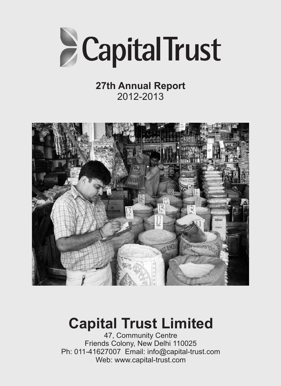

## **27th Annual Report** 2012-2013



## **Capital Trust Limited**

47, Community Centre Friends Colony, New Delhi 110025 Ph: 011-41627007 Email: info@capital-trust.com Web: www.capital-trust.com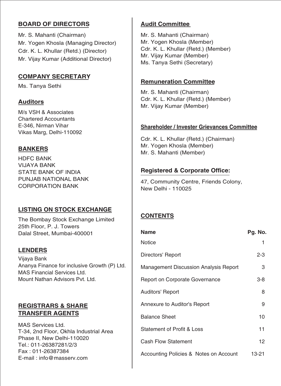## **BOARD OF DIRECTORS**

Mr. S. Mahanti (Chairman) Mr. Yogen Khosla (Managing Director) Cdr. K. L. Khullar (Retd.) (Director) Mr. Vijay Kumar (Additional Director)

## **COMPANY SECRETARY**

Ms. Tanya Sethi

## **Auditors**

M/s VSH & Associates Chartered Accountants E-346, Nirman Vihar Vikas Marg, Delhi-110092

## **BANKERS**

HDFC BANK VIJAYA BANK STATE BANK OF INDIA PUNJAB NATIONAL BANK CORPORATION BANK

## **LISTING ON STOCK EXCHANGE**

The Bombay Stock Exchange Limited 25th Floor, P. J. Towers Dalal Street, Mumbai-400001

## **LENDERS**

Vijaya Bank Ananya Finance for inclusive Growth (P) Ltd. MAS Financial Services Ltd. Mount Nathan Advisors Pvt. Ltd.

## **REGISTRARS & SHARE TRANSFER AGENTS**

MAS Services Ltd. T-34, 2nd Floor, Okhla Industrial Area Phase II, New Delhi-110020 Tel.: 011-26387281/2/3 Fax : 011-26387384 E-mail : info@masserv.com

## **Audit Committee**

Mr. S. Mahanti (Chairman) Mr. Yogen Khosla (Member) Cdr. K. L. Khullar (Retd.) (Member) Mr. Vijay Kumar (Member) Ms. Tanya Sethi (Secretary)

## **Remuneration Committee**

Mr. S. Mahanti (Chairman) Cdr. K. L. Khullar (Retd.) (Member) Mr. Vijay Kumar (Member)

## **Shareholder / Invester Grievances Committee**

Cdr. K. L. Khullar (Retd.) (Chairman) Mr. Yogen Khosla (Member) Mr. S. Mahanti (Member)

## **Registered & Corporate Office:**

47, Community Centre, Friends Colony, New Delhi - 110025

## **CONTENTS**

| <b>Name</b>                                  | Pg. No. |
|----------------------------------------------|---------|
| <b>Notice</b>                                | 1       |
| Directors' Report                            | $2 - 3$ |
| <b>Management Discussion Analysis Report</b> | 3       |
| <b>Report on Corporate Governance</b>        | 3-8     |
| Auditors' Report                             | 8       |
| Annexure to Auditor's Report                 | 9       |
| <b>Balance Sheet</b>                         | 10      |
| Statement of Profit & Loss                   | 11      |
| <b>Cash Flow Statement</b>                   | 12      |
| Accounting Policies & Notes on Account       | 13-21   |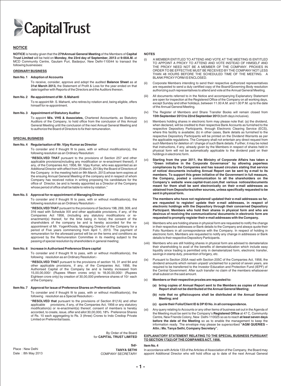

#### **NOTICE**

**NOTICE** is hereby given that the **27thAnnual General Meeting** of the Members of **Capital Trust Limited** will be held on **Monday, the 23rd day of September, 2013** at **9:00A.M.** at MCD Community Centre, Gautam Puri, Badarpur, New Delhi-110044 to transact the following businesses:

#### **ORDINARY BUSINESS**

#### **Item No. 1 Adoption of Accounts**

To receive, consider, approve and adopt the audited **Balance Sheet** as at **31st March 2013,** the Statement of Profit & Loss for the year ended on that date together with Reports of the Directors and the Auditors thereon.

#### **Item No. 2 Re-appointment of Mr. S.Mahanti**

To re-appoint Mr. S. Mahanti, who retires by rotation and, being eligible, offers himself for re-appointment.

#### **Item No. 3 Appointment of Statutory Auditor**

To appoint **M/s. VHS & Associates,** Chartered Accountants, as Statutory Auditors of the Company, to hold office from the conclusion of this Annual General Meeting until the conclusion of the next Annual General Meeting and to authorize the Board of Directors to fix their remuneration.

#### **SPECIAL BUSINESS**

#### **Item No. 4 Regularisation of Mr. Vijay Kumar as Director**

To consider and if thought fit to pass, with or without modification(s), the following resolution as an Ordinary Resolution:

**"RESOLVED THAT** pursuant to the provisions of Section 257 and other applicable provisions(including any modification or re-enactment thereof), if any, of the Companies Act, 1956, Mr. Vijay Kumar, who was appointed as an Additional Director with effect from 25 March, 2013by the Board of Directors of the Company in the meeting held on 9th March, 2013,whose term expires at the ensuing Annual General Meeting of the company and in respect of whom Company has received notice in writing proposing his candidature for the office of Director, be and is hereby appointed as a Director of the Company whose period of office shall be liable to retire by rotation."

#### **Item No. 5 Approval for re-appointment of Managing Director**

To consider and if thought fit to pass, with or without modification(s), the following resolution as an Ordinary Resolution:-

**"RESOLVED THAT** pursuant to the provisions of Sections 198, 269, 309, and 316 read with Schedule XIII and other applicable provisions, if any, of the Companies Act 1956, (including any statutory modifications or re-enactment(s) thereof, for the time being in force) the consent of the shareholders of the company be and is hereby accorded for the reappointment of Mr. YogenKhosla, Managing Director of the Company for a period of Five years commencing from April 1, 2013. The payment of remuneration for the aforesaid period will be on the terms and conditions as approved by the Remuneration Committee in its meeting subject to the passing of special resolution by shareholders in general meeting;

#### **Item No. 6 Increase in Authorised Preference Share capital**

To consider and if thought fit to pass, with or without modification(s), the following resolution as an Ordinary Resolution:-

**"RESOLVED THAT** pursuant to the provisions of section 16, 31 and 94 and other applicable provisions, if any, of the Companies Act, 1956, the Authorised Capital of the Company be and is hereby increased from 15,00,00,000/- (Rupees fifteen crores only) to 18,00,00,000/- (Rupees Eighteen crore only) by creation of 30,00,000 preference shares of 10/- each of the Company.

#### **Item No. 7 Approval for issue of Preference Shares on Preferential basis**

To consider and if thought fit to pass, with or without modification(s), the following resolution as a Special Resolution:-

**"RESOLVED that** pursuant to the provisions of Section 81(1A) and other provisions, if any, of the Companies Act, 1956 or any statutory modification(s) or re-enactment(s) thereof, consent of members is hereby accorded, to create, issue, offer and allot 30,00,000, 18% Preference Shares of Rs. 10 each aggregating to Rs. 3 (three) Crores to Indo Crediop Private Limited on Preferential basis.

> By Order of the Board for **CAPITAL TRUST LIMITED**

> > **Sd/-**

Place : New Delhi Date : 8th May 2013

**TANYA SETHI** COMPANY SECRETARY

#### **NOTES**

- (i) A MEMBER ENTITLED TO ATTEND AND VOTE AT THE MEETING IS ENTITLED TO APPOINT A PROXY TO ATTEND AND VOTE INSTEAD OF HIMSELF AND THE PROXY NEED NOT BE A MEMBER OF THE COMPANY. PROXIES IN ORDER TO BE EFFECTIVE MUST BE RECEIVED BY THE COMPANY NOT LESS THAN 48 HOURS BEFORE THE SCHEDULED TIME OF THE MEETING. A BLANK PROXY FORM IS ENCLOSED.
- (ii) Corporate Members intending to send their respective authorized representatives are requested to send a duly certified copy of the Board/Governing Body resolution authorizing such representatives to attend and vote at the Annual General Meeting.
- (iii) All documents referred to in the Notice and accompanying Explanatory Statement are open for inspection at the Registered Office of the Company on all working days, except Sunday and other holidays, between 11.00 A.M. and 1.00 P.M. up to the date of the Annual General Meeting.
- (iv) The Register of Members and Share Transfer Books will remain closed from **15th September 2013 to 22nd September 2013** (both days inclusive).
- (v) Members holding shares in electronic form may please note that: (a) the dividend, when declared, will be credited to their respective Bank Accounts as furnished to the respective Depository Participants, through Electronic Clearing Service (ECS), where this facility is available; (b) in other cases, Bank details as furnished to the respective Depository Participants will be printed on the Dividend Warrants as per the applicable regulations. The Company shall not entertain any direct request from such Members for deletion of / change of such Bank details. Further, it may be noted that instructions, if any, already given by the Members in respect of shares held in physical form will not be automatically applicable to the dividend paid on their holdings in electronic form.
- (vi) **Starting from the year 2011, the Ministry of Corporate Affairs has taken a "Green initiative in the Corporate Governance" by allowing paperless compliances by the Companies and has issued circulars stating that service of notice/ documents including Annual Report can be sent by e-mail to its members. To support this green initiative of the Government in full measure, the Company, posted a communication to all the shareholders on the Company's website www.capital-trust.com,that various notices/documents meant for them shall be sent electronically on their e-mail addresses as obtained from Depositories/other sources, unless specifically requested to be sent in physical form.**

**The members who have not registered/ updated their e-mail addresses so far, are requested to register/ update their e-mail addresses, in respect of electronic holdings with the Depository through their concerned Depository Participant. Members who hold their shares in physical form and who are desirous of receiving the communications/ documents in electronic form are requested to promptly register their e-mail addresses with the Company.**

- (vii) Members who are holding shares in physical form are requested to notify the change in their respective addresses or Bank details to the Company and always quote their Folio Numbers in all correspondence with the Company. In respect of holding in electronic form, Members are requested to notify any change in addresses or Bank details to their respective Depository Participants.
- (viii) Members who are still holding shares in physical form are advised to dematerialize their shareholding to avail of the benefits of dematerialization which include easy liquidity since trading is permitted only in dematerialized form, electronic transfer, savings in stamp duty, prevention of forgery, etc.
- Pursuant to Section 205A read with Section 205C of the Companies Act, 1956, the dividend amounts which remain unpaid/ unclaimed for a period of seven years, are required to be transferred to the Investor Education and Protection Fund (IEPF) of the Central Government. After such transfer no claim of the members whatsoever shall subsist on the said amount.
- (x) **Members or their respective proxies are requested to:**
	- **(a) bring copies of Annual Report sent to the Members as copies of Annual Report shall not be distributed at the Annual General Meeting;**
	- **(b) note that no gifts/coupons shall be distributed at the Annual General Meeting; and**
	- **(c) quote their Folio/Client ID & DP ID No. in all correspondence.**
- (xi) Any query relating to Accounts or any other items of business set out in the Agenda of the Meeting must be sent to the Company's **Registered Office** at 47 C, Community Centre, New Friends Colony, New Delhi-110025 so as to reach **at least seven days before the date of the Meeting** so as to enable the management to keep the information ready. The envelope may please be superscribed **"AGM QUERIES – Attn.: Ms. Tanya Sethi, Company Secretary".**

#### **EXPLANATORY STATEMENT RELATING TO THE SPECIAL BUSINESS PURSUANT TO SECTION 173(2) OF THE COMPANIES ACT, 1956.**

#### **Item No. 4**

In accordance with Article 133 of the Articles of Association of the Company, the Board may appoint Additional Director who will hold office up to date of the next Annual General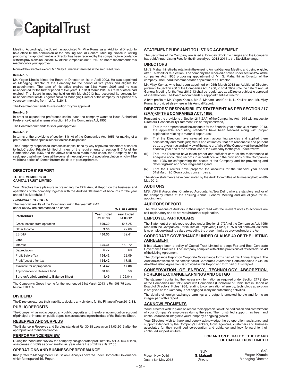

Meeting. Accordingly, the Board has appointed Mr. Vijay Kumar as an Additional Director to hold office till the conclusion of the ensuing Annual General Meeting. Notice in writing proposing his appointment as a Director has been received by the company, in accordance with the provisions of Section 257 of the Companies Act, 1956.The Board recommends this resolution for your approval.

None of the directors except Mr. Vijay Kumar is interested in the said resolution.

#### **Item No. 5**

Mr. Yogen Khosla joined the Board of Director on 1st of April 2003. He was appointed as Managing Director of the Company for the period of five years and eligible for re-appointment. The term of his office expired on 31st March 2008 and he was re-appointed for the further period of five years. On 31st March 2013 his term of office had expired. The Board in meeting held on 9th March,2013 has accorded its consent for re-appointment of Mr. Yogen Khosla as Managing Director of the company for a period of 5 years commencing from 1st April, 2013.

The Board recommends this resolution for your approval.

#### **Item No. 6**

In order to expand the preference capital base the company wants to issue Authorised Preference Capital in terms of section 94 of the Companies Act, 1956.

The Board recommends this for your approval.

#### **Item No. 7**

In terms of the provisions of section 81(1A) of the Companies Act, 1956 for making of a preferential offer a special resolution has to be passed.

The Company proposes to increase its capital base by way of private placement of shares to IndoCrediop Private Limited .In view of the requirements of section 81(1A) of the Companies Act, 1956 and the above said rules made there under, the Company has to seek approval of members at the general meeting by way of special resolution which will be valid for a period of 12 months from the date of passing thereof.

#### **DIRECTORS' REPORT**

#### **TO THE MEMBERS OF CAPITAL TRUST LIMITED**

Your Directors have pleasure in presenting the 27th Annual Report on the business and operations of the company together with the Audited Statement of Accounts for the year ended 31st March 2013.

#### *FINANCIAL RESULTS*

The financial results of the Company during the year 2012-13 under review are summarized as under:

|                                                 |                               | (RS. III LAKIIS)              |
|-------------------------------------------------|-------------------------------|-------------------------------|
| <b>Particulars</b>                              | <b>Year Ended</b><br>31.03.13 | <b>Year Ended</b><br>31.03.12 |
| Gross Income from operation                     | 899.39                        | 547.25                        |
| Other Income                                    | 9.36                          | 29.68                         |
| <b>EBIDTA</b>                                   | 486.50                        | 189.41                        |
| Less:                                           |                               |                               |
| Interest                                        | 325.31                        | 160.72                        |
| Depreciation                                    | 6.77                          | 6.60                          |
| Profit Before Tax                               | 154.42                        | 22.09                         |
| Profit/(Loss) after tax                         | 154.42                        | 17.88                         |
| Available for appropriation                     | 154.42                        | 17.88                         |
| Appropriation to Reserve fund                   | 30.88                         | 3.58                          |
| <b>Surplus/deficit carried to Balance Sheet</b> | 1.49                          | (122.04)                      |

The Company's Gross Income for the year ended 31st March 2013 is Rs. 908.75 Lacs before EBIDTA.

#### **DIVIDEND**

The Directors express their inability to declare any dividend for the Financial Year 2012-13.

#### **PUBLIC DEPOSITS**

The Company has not accepted any public deposits and, therefore, no amount on account of principal or interest on public deposits was outstanding on the date of the Balance Sheet.

#### **RESERVES AND SURPLUS**

The Balance in Reserves and Surplus stands at Rs. 30.88 Lacsas on 31.03.2013 after the appropriations mentioned above.

#### **PERFORMANCE REVIEW**

During the Year under review the company has generatedprofit after tax of Rs. 154.42lacs, an increase in profits as compared to last year where the profit was Rs.17.88.

#### **OPERATIONS AND BUSINESS PERFORMANCE**

Kindly refer to Management Discussion & Analysis covered under Corporate Governance which forms part of this Report.

#### **STATEMENT PURSUANT TO LISTING AGREEMENT**

The Securities of the Company are listed at Bombay Stock Exchanges and the Company has paid Annual Listing Fees for the financial year 2013-2014 to the Stock Exchange.

#### **DIRECTORS**

Mr. S. Mahanthi retire by rotation in the ensuing Annual General Meeting and being eligible, offer himself for re-election . The company has received a notice under section 257 of the companies Act, 1956 proposing appointment of Mr. S. Mahanthi as Director of the company. The Board recommends his appointment as Director.

Mr. Vijay Kumar, who had been appointed on 25th March 2013 as Additional Director, pursuant to Section 260 of the Companies Act, 1956, to hold office upto the date of Annual General Meeting for the Year 2012-13 shall be regularized as a Director subject to approval of shareholders. The Board recommends his appointment as Director.

A brief profile of Mr. Yogen Khosla, Mr. S. Mahanti, and Cdr. K. L. Khullar, and Mr. Vijay Kumar is provided elsewhere in this Annual Report.

#### **DIRECTORS' RESPONSIBILITY STATEMENT AS PER SECTION 217 (2AA) OF THE COMPANIES ACT, 1956.**

Pursuant to the provisions of Section 217(2AA) of the Companies Act, 1956 with respect to Directors' Responsibility Statement, it is hereby confirmed,

- (i) That in the preparation of the accounts for the financial year ended 31st March 2013, the applicable accounting standards have been followed along with proper explanation relating to material departures;
- (ii) That the Directors have selected such accounting policies and applied them consistently and made judgments and estimates, that are reasonable and prudent so as to give a true and fair view of the state of affairs of the Company at the end of the financial year and of the profit or loss of the Company for the year under review;
- (iii) That the Directors have taken proper and sufficient care for the maintenance of adequate accounting records in accordance with the provisions of the Companies Act, 1956 for safeguarding the assets of the Company and for preventing and detecting fraud and other irregularities; and
- (iv) That the Directors have prepared the accounts for the financial year ended 31st March 2013 on a going concern basis.

The above statements have been noted by the Audit Committee at its meeting held on 8th May 2013.

#### **AUDITORS**

*(Rs. In Lakhs)*

M/S. VSH & Associates, Chartered Accountants,New Delhi, who are statutory auditor of the company retires at the ensuing Annual General Meeting and are eligible for reappointment.

#### **AUDITORS REPORT**

The observations of Auditors in their report read with the relevant notes to accounts are self-explanatory and do not require further explanation.

#### **EMPLOYEE PARTICULARS**

The Statement of employees required under Section 217(2A) of the Companies Act, 1956 read with the Companies (Particulars of Employees) Rules, 1975 is not annexed, as there is no employee drawing salary exceeding the present limits as provided under the Act.

#### **CORPORATE GOVERNANCE UNDER CLAUSE 49 OF THE LISTING AGREEMENT**

It has always been a policy of Capital Trust Limited to adopt Fair and Best Corporate Governance Practices. The Company complies with all the provisions of revised clause 49 of the Listing Agreement.

The Compliance Report on Corporate Governance forms part of this Annual Report. The Auditors certificate on the compliance of Corporate Governance Code embodied in Clause 49 of the Listing Agreement is provided in this Report and form part of this Report

#### **CONSERVATION OF ENERGY, TECHNOLOGY ABSORPTION, FOREIGN EXCHANGE EARNINGS AND OUTGO**

The statement containing the necessary information as required under Section 217 (1)(e) of the Companies Act, 1956 read with Companies (Disclosure of Particulars in Report of Board of Directors) Rules 1988, relating to conservation of energy, technology absorption is not given as the Company is not engaged in any manufacturing activities.

The details of foreign exchange earnings and outgo is annexed hereto and forms an integral part of this report.

#### **ACKNOWLEDGMENTS**

Your Directors wish to place on record their appreciation of the dedication and commitment of your Company's employees during the year. Their unstinted support has been and continues to be an integral to your Company's ongoing growth.

Your Directors wish to thank and deeply acknowledge the co-operation, assistance and support extended by the Company's Bankers, Govt. agencies, customers and business associates for their continued co-operation and guidance and look forward to their continued support in future

#### **FOR AND ON BEHALF OF THE BOARD OF CAPITAL TRUST LIMITED**

**Sd/-**

| Sd         | Sd/-                     |
|------------|--------------------------|
| S. Mahanti | Yogen Khosla             |
| Director   | <b>Managing Director</b> |

Place : New Delhi Date : 8th May 2013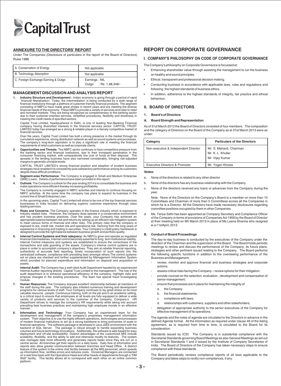# CapitalTrust

#### **ANNEXURE TO THE DIRECTORS' REPORT**

Under The Companies (Disclosure of particulars in the report of the Board of Directors) Rules 1988

| A. Conservation of Energy           | Not applicable                          |  |
|-------------------------------------|-----------------------------------------|--|
| <b>B. Technology Absorption</b>     | Not applicable                          |  |
| C. Foreign Exchange Earning & Outgo | Earnings: NIL<br>Outgo : Rs. 1,68,346/- |  |

#### **MANAGEMENT DISCUSSION AND ANALYSIS REPORT**

**1. Industry Structure and Development :** Indian economy is going through a period of rapid `financial liberalisation'. Today, the intermediation' is being conducted by a wide range of<br>financial institutions through a plethora of customer friendly financial products. The segment<br>consisting of NBFCs have made grea and nonretail markets. They are being recognized as complementary to the banking sector due to their customer-oriented services, simplified procedures, flexibility and timeliness in meeting the credit needs of specified sectors.

Capital Trust Limited, headquartered in Delhi, is one of leading Non-Banking Financial<br>company having diversified interests in the financial services sector. CAPITAL TRUST<br>LIMITED today has emerged as a strong & reliable p financial services.

Over the years, Capital Trust Limited has built a strong presence in the market through its cumulative experience, strong distribution network as well as sound systems and processes.<br>The company's long-term aspiration is to play a significant role in meeting the financial<br>requirements of retail customers as well

2. Opportunities and Threats: The NBFC sector continues to face competitive pressure from<br>the banking sector and financial institutions, due to their increased penetration in the<br>consumer financing market, with comparative

CAPITAL TRUST LIMITED's strong financial position and adoption of prudent business strategies have enabled it to consistently post satisfactory performance among its customers despite these difficult conditions.

- **3. Segment-wise Performance:** The Company is engaged in Small and Medium Enterprise (SME) Loans. Details of performance have been provided in this report.
- **4. Outlook:** The Company's outlook for the year ending 2014 is to consolidate the business and make operations more efficient thereby increasing profitability.

The Company is currently engaged in NBFC activities and intends to continue focusing on NBFC activities. At the same time the company has plans to expand its business in the current line of Small Enterprise Loan.

In the upcoming years, Capital Trust Limited will strive to be one of the top financial services businesses in India focused on delivering superior customer experience through class leading services.

- **5.** Risks and Concerns: The Company operates in the finance industry which is exposed to industry related risks. However, the company does operate in a conservative environment and has prudent business practices. Over the designed to provide the right balance between business growth and portfolio quality.
- **6. Internal Control Systems and their adequacy:** As NBFCs grow and operate as regulated financial intermediaries, internal control becomes essential to long term institutional viability.<br>Internal Control measures and systems are established to ensure the correctness of the<br>transactions and safe guarding of th authenticity of accurate field reporting, timely incorporation of such reports into the<br>centralized software, compliance with prevailing laws amongst others.The control systems<br>set on place are checked and further suppleme which provided for planned expenditure and information on disposal and acquisition of assets.

Internal Audit: The Company has a well-oiled Audit Department headed by an experienced<br>Internal Auditor reporting directly Capital Trust Limited to the management. The role of the<br>audit department is to enhance operational module.

- 7. Human Resources: The Company enjoyed excellent relationship between all members of the staff during the year. The company also initiated numerous training and development programs for various levels of staff. Your Compa is a critical input to ensure that employees at all levels are fully equipped to deliver a wide<br>variety of products and services to the customer of the company. Company's HR<br>Department strives to manage the compa prevailing best business practices and maintaining high employee morale in an effective manner.
- **8. Information and Technology:** Your Company has an experienced team for the development and management of the company's proprietary management information<br>system. Their objective is to use the highly efficient operations, technologies and processes<br>of modern financial institutions to act as a stro financial operations. The software package is developed in Java J2EE environment with the<br>backend of SQL Server. The package is robust enough to handle expanding business<br>volumes and future technology innovati deployment and off-site accessibility. Distinct advantages of the customized MIS include<br>scalability, flexibility, and the ability to add and otherwise modify its features. The system<br>also manages data more efficiently and central server. All branches get their reports on a daily basis. Daily flow of information and<br>reports also allow greater communication between branches and Head Office. A distinct<br>feature of the system is the online chat platform.

### **REPORT ON CORPORATE GOVERNANCE**

#### **I. COMPANY'S PHILOSOPHY ON CODE OF CORPORATE GOVERNANCE**

The Company's philosophy on Corporate Governance is focussed at:

- Enhancing shareholder value through assisting the management to run the business on healthy and sound principles.
- Ethical, transparent and professional decision making.
- Conducting business in accordance with applicable laws, rules and regulations and following the highest standards of business ethics.
- In addition, adherence to the highest standards of integrity, fair practice and ethical behaviour.

#### **II. BOARD OF DIRECTORS**

**1. Board's of Directors**

#### **A. Board Strength and Representation**

As of 31st March 2013 the Board of Directors consisted of four members. The composition and the category of Directors on the Board of the Company as at 31st March 2013 were as under:

| Category                             | <b>Particulars of the Directors</b>                              |
|--------------------------------------|------------------------------------------------------------------|
| Non-executive & Independent Director | Mr. S. Mahanti, Chairman<br>Mr. K. L. Khullar<br>Mr. Vijay Kumar |
| Executive Directors & Promoter       | Mr. Yogen Khosla                                                 |

#### *Notes:*

- a. None of the directors is related to any other director
- b. None of the directors has any business relationship with the Company
- c. None of the directors received any loans or advances from the Company during the year.

Note : None of the Directors on the Company's Board is a member on more than 10 Committees and Chairman of more than 5 Committees across all the Companies in which he is a Director. All the Directors have made necessary disclosures regarding committee positions occupied by them in other Companies.

d. Ms. Tanya Sethi has been appointed as Company Secretary and Compliance Officer of the Company in terms of provisions of Companies Act 1956 by the Board of Director at their meeting held on 9th March 2013 in place of Ms Leena Sharma who resigned w.e.f 1stApril, 2013.

#### **B. Conduct of Board Proceedings**

The day-to-day business is conducted by the executives of the Company under the direction of the Chairman and the supervision of the Board. The Board holds periodic meetings to review and discuss the performance of the Company, its future plans, strategies and other pertinent issued relating to the Company. The Board performs the following specific functions in addition to the overseeing performance of the Business and Management.

- review, monitor and approve financial and business strategies and corporate actions;
- assess critical risks facing the Company review options for their mitigation;
- provide counsel on the selection, evaluation, development and compensation of senior management;
- ensure that processes are in place for maintaining the integrity of
	- a. the Company
	- b. the financial statements;
	- c. compliance with laws;
	- d. relationships with customers, suppliers and other stakeholders;
- delegation of appropriate authority to the senior executives of the Company for effective management of its operations.

The agenda and the notes of agenda are circulated to the Directors in advance in the defined Agenda format. All the information as required under clause 49 of the listing agreement, as is required from time to time, is circulated to the Board for its consideration.

Standards issued by ICSI: The Company is in substantial compliance with the Secretarial Standards governing Board Meetings as also General Meetings as set out in Secretarial Standards 1 and 2 issued by the Institute of Company Secretaries of India. The Board of Directors of the Company has taken necessary steps to ensure compliance with these standards.

The Board periodically reviews compliance reports of all laws applicable to the Company and takes steps to rectify non-compliances, if any.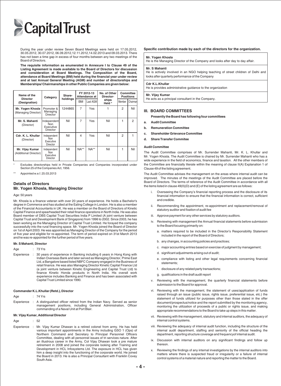

During the year under review Seven Board Meetings were held on 17.05.2012, 30.05.2012, 30.07.2012, 06.09.2012,12.11.2012,14.02.2013 and 09.03.2013. There has not been a time gap in excess of four months between any two meetings of the Board of Directors.

**The requisite information as enumerated in Annexure I to Clause 49 of the Listing Agreement is made available to the Board of Directors for discussion and consideration at Board Meetings. The Composition of the Board, attendance at Board Meetings (BM) held during the financial year under review and at last Annual General Meeting (AGM) and number of directorships and Memberships/ Chairmanships in other Public Companies are given below:**

| Name of the<br><b>Director</b>           | Category                                           | Share-<br>holdings |                | FY 2012-13<br>Attendance at | No. of Other<br>Director- | Committee<br><b>Positions</b> |                |
|------------------------------------------|----------------------------------------------------|--------------------|----------------|-----------------------------|---------------------------|-------------------------------|----------------|
| (Designation)                            |                                                    |                    | ВM             | Last AGM                    | ships<br>Held *           | Member                        | Chairman       |
| Mr. Yogen Khosla<br>(Managing Director)  | Promoter &<br>Managing<br><b>Director</b>          | 1244865            | $\overline{7}$ | Yes                         |                           | 2                             | Nil            |
| Mr. S. Mahanti<br>(Director)             | Independent<br>Non<br>Executive<br>Director        | Nil                | $\overline{7}$ | Yes                         | Nil                       | 1                             | $\overline{2}$ |
| Cdr. K. L. Khullar<br>(Director)         | Independent<br><b>Non</b><br>Executive<br>Director | Nil                | 4              | Yes                         | Nil                       | 2                             |                |
| Mr. Vijay Kumar<br>(Additional Director) | Independent<br>Non<br>Executive<br>Director        | Nil                | $NA**$         | $NA**$                      | Nil                       | 1                             | Nil            |

Excludes directorships held in Private Companies and Companies incorporated under Section 25 of the Companies Act, 1956.

Appointed w.e.f. 25.03.2013

#### **Details of Directors Mr. Yogen Khosla, Managing Director**

#### Age: 50 years

Mr. Khosla is a finance veteran with over 20 years of experience. He holds a Bachelor's degree in Commerce and has studied at the Ealing College in London. He is also a member of the Financial Accountants in UK. He was a member on the Board of Directors of Kinetic Capital Finance and spearheaded their retail finance operations in North India. He was also Board member of DBS Capital Trust Securities India P Limited (A joint venture between Capital Trust and Development Bank of Singapore) from 1996 to 2002. Since 2003, he has been working as the Managing Director of Capital Trust Limited. He forayed the company successfully into the rural financing space. Mr. Yogen Khosla joined the Board of Director on 1st of April 2003. He was appointed as Managing Director of the Company for the period of five year and eligible for re-appointed. The term of period expired on 31st March 2013 and he was re-appointed for the further period of five years.

#### **Mr. S Mahanti, Director**

Age : 73 Yrs

Experience : 30 years of experience in Banking including 6 years in Hong Kong with Indian Overseas Bank and later served as Managing Director, Prime East Ltd, a Bangalore based listed NBFC Company engaged in the Business of retail finance. He was also Managing Director Kinetic Capital Finance Ltd (a joint venture between Kinetic Engineering and Capital Trust Ltd) to finance Kinetic Honda products in North India. His overall work experience includes Banking and Finance and has been associated with Capital Trust Limited since 1990.

#### **Commander K.L.Khullar (Retd.), Director**

Age : 74 Yrs

Experience : A distinguished officer retired from the Indian Navy. Served as senior management positions, including General Administration, Officer commanding of a Naval Unit at Port Blair.

#### **Mr. Vijay Kumar, Additional Director**

Age : 52

Experience : Mr. Vijay Kumar Dhawan is a retired colonel from army. He has held various important appointments in the Army including GSO 1 (Ops) of Northern Command and Secretary to Principal Personnel Officers Committee, dealing with all personnel issues of tri services nature. After an illustrous career in the Army, Col Vijay Dhawan took a pre mature retirement in 2008 and joined the corporate looking after Training and Development in HCL Infosystems Ltd. The exposure in HCL has given him a deep insight into the functioning of the corporate world. He joined the Board in 2013. He is also a Principal Consultant with Franklin Covey South Asia.

#### **Specific contribution made by each of the directors for the organization.**

#### **Mr. Yogen Khosla**

He is the Managing Director of the Company and looks after day to day affair.

#### **Mr. S Mahanti**

He is actively involved in an NGO helping teaching of street children of Delhi and looks after quarterly performance of the Company

#### **Cdr K.L.Khullar**

He is provides administrative guidance to the organization

#### **Mr. Vijay Kumar**

He acts as a principal consultant in the Company.

#### **III. BOARD COMMITTEES**

**Presently the Board has following four committees**

- **a. Audit Committee**
- **b. Remuneration Committee**
- **c. Shareholder Grievance Committee**
- **d. Share Transfer Commitee**

#### **Audit Committee**

The Audit Committee comprises of Mr. Surrender Mahanti, Mr. K. L. Khullar and Mr. Yogen Khosla. The Audit Committee is chaired by Mr. Surrender Mahanti who has a wide experience in the field of economics, finance and taxation. All the other members of the Committee are financially literate within the meaning of clause II(A) Explanation 1 of Clause 49 of the listing agreement.

The Audit Committee advises the management on the areas where internal audit can be improved. The minutes of the meetings of the Audit Committee are placed before the Board of Directors. The terms of reference of the Audit Committee in accordance with all the items listed in clause 49(II)(D) and (E) of the listing agreement are as follows:

- Overseeing the Company's financial reporting process and the disclosure of its financial information to ensure that the financial information is correct, sufficient and credible.
- Recommending the appointment, re-appointment and replacement/removal of statutory auditor and fixation of audit fee
- iii. Approve payment for any other services by statutory auditors.
- iv. Reviewing with management the Annual financial statements before submission to the Board focusing primarily on:
	- a. matters required to be included in the Director's Responsibility Statement included in the report of the Board of Directors;
	- b. any changes, in accounting policies and practices;
	- c. major accounting entries based on exercise of judgment by management;
	- d. significant adjustments arising out of audit;
	- e. compliance with listing and other legal requirements concerning financial statements;
	- f. disclosure of any related party transactions;
	- g. qualifications in the draft audit report
- v. Reviewing with the management, the quarterly financial statements before submission to the Board for approval.
- vi. Reviewing with the management, the statement of uses/application of funds raised through an issue (public issue, rights issue, preferential issue, etc.) the statement of funds utilized for purposes other than those stated in the offer document/prospectus/notice and the report submitted by the monitoring agency, monitoring the utilization of proceeds of a public or rights issue, and making appropriate recommendations to the Board to take up steps in this matter.
- vii. Reviewing with the management, statutory and internal auditors, the adequacy of internal control systems.
- viii. Reviewing the adequacy of internal audit function, including the structure of the internal audit department, staffing and seniority of the official heading the department, reporting structure coverage and frequencyof internal audit.
- ix. Discussion with internal auditors on any significant findings and follow up thereon.
- x. Reviewing the findings of any internal investigations by the internal auditors into matters where there is suspected fraud or irregularity or a failure of internal control systems of a material nature and reporting the matter to the Board.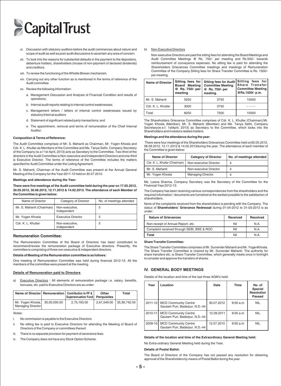

- xi. Discussion with statutory auditors before the audit commences about nature and scope of audit as well as post-audit discussions to ascertain any area of concern.
- xii. To look into the reasons for substantial defaults in the payment to the depositors, debenture holders, shareholders (incase of non-payment of declared dividends) and creditors.
- xiii. To review the functioning of the Whistle Blower mechanism.
- xiv. Carrying out any other function as is mentioned in the terms of reference of the Audit committee.
- xv. Review the following information:
	- a. Management Discussion and Analysis of Financial Condition and results of operations;
	- b. Internal audit reports relating to internal control weaknesses;
	- c. Management letters / letters of internal control weaknesses issued by statutory/internal auditors
	- d. Statement of significant related party transactions; and
	- e. The appointment, removal and terms of remuneration of the Chief Internal Auditor.

#### **Composition & Terms of Reference:**

The Audit Committee comprises of Mr. S. Mahanti as Chairman, Mr. Yogen Khosla and Cdr. K. L. Khullar as Members of the Committee and Ms. Tanya Sethi, Company Secretary of the Company (w.e.f 1st April, 2013) acts as Secretary to the Committee. Two-third of the directors in the Audit Committee is Non-executive and Independent Directors and one-third is Executive Director. The terms of reference of the Committee includes the matters specified for Audit Committee under the Listing Agreement.

Mr. S. Mahanti, Chairman of the Audit Committee was present at the Annual General Meeting of the Company for the Year 2011-12 held on 30.07.2012.

#### **Meetings and attendance during the Year:**

**There were five meetings of the Audit committee held during the year on 17.05.2012, 30.05.2012, 30.06.2012, 12.11.2012 & 14.02.2013. The attendance of each Member of the Committee is given below:**

| Name of Director          | Category of Director          | No. of meetings attended |
|---------------------------|-------------------------------|--------------------------|
| Mr. S. Mahanti (Chairman) | Non-executive,<br>Independent | 5                        |
| Mr. Yogen Khosla          | <b>Executive Director</b>     | 5                        |
| Cdr. K. L. Khullar        | Non-executive,<br>Independent | 5                        |

#### **Remuneration Committee:**

The Remuneration Committee of the Board of Directors has been constituted to recommend/review the remuneration package of Executive directors. Presently, the committee is comprising of three non-executive & independent directors.

#### **Details of Meeting of the Remuneration committee is as follows:**

One meeting of Remuneration Committee was held during financial 2012-13. All the members of the committee were present at the meeting.

#### **Details of Remuneration paid to Directors**

a) Executive Directors : All elements of remuneration package i.e. salary, benefits, bonuses, etc. paid to Executive Directors are as under:

|                                                       | Name of Director   Remuneration   Contribution to PF &  <br>Superannuation Fund Perquisites | Other | Total                      |
|-------------------------------------------------------|---------------------------------------------------------------------------------------------|-------|----------------------------|
| Mr. Yogen Khosla, 30,00,000.00<br>  Managing Director | 2.75.193.00                                                                                 |       | 2,61,549.00   35,36,742.00 |

*Notes:*

- No commission is payable to the Executive Directors.
- ii. No sitting fee is paid to Executive Directors for attending the Meeting of Board of Directors of the Company or committees thereof.
- iii. There is no separate provision for payment of severance fees.
- iv. The Company does not have any Stock Option Scheme.

#### b) Non-Executive Directors

Non-executive Directors are paid the sitting fees for attending the Board Meetings and Audit Committee Meetings @ Rs. 750/- per meeting and Rs.500/- towards reimbursement of conveyance expenses. No sitting fee is paid for attending the Shareholders Grievances Committee meetings and meetings of Remuneration Committee of the Company.Sitting fees for Share Transfer Committee is Rs. 1500/ per meeting.

| <b>Name of Director</b> | <b>Board Meeting</b><br>@ Rs. 750/- per<br>meeting | Sitting fees for   Sitting fees for Audit  <br><b>Committee Meeting.</b><br>@ Rs. 750/- per<br>meeting. | Sitting fees for<br><b>Share Transfer</b><br><b>Committee Meeting</b><br>@Rs.1500/- p.m. |
|-------------------------|----------------------------------------------------|---------------------------------------------------------------------------------------------------------|------------------------------------------------------------------------------------------|
| Mr. S. Mahanti          | 5250                                               | 3750                                                                                                    | 15000                                                                                    |
| Cdr. K. L. Khullar      | 3000                                               | 3750                                                                                                    |                                                                                          |
| Total                   | 8250                                               | 7500                                                                                                    | 15000                                                                                    |

The Shareholders Grievance Committee comprises of Cdr. K. L. Khullar (Chairman),Mr. Yogen Khosla (Member), Mr. S. Mahanti (Member) and Ms. Tanya Sethi, Company Secretary(w.e.f. 1stApril, 2013) as Secretary to the Committee, which looks into the Shareholders and investors related matters.

#### **Meetings and the attendance during the year:**

There were four meetings of the Shareholders Grievances Committee held on30.05.2012, 06.09.2012, 12.11.2012 & 14.02.2013during the year. The attendance of each member of the Committee is given below:

| <b>Category of Director</b><br><b>Name of Director</b> |                          | No. of meetings attended |
|--------------------------------------------------------|--------------------------|--------------------------|
| Cdr. K. L. Khullar (Chairman)                          | Non-executive Director   |                          |
| Mr. S. Mahanti                                         | Non-executive Director   |                          |
| Mr. Yogen Khosla                                       | <b>Managing Director</b> |                          |

Ms. Leena Sharma, Company Secretary was the Secretary of the Committee for the Financial Year 2012-13.

The Company has been receiving various correspondences from the shareholders and the required information / documents are furnished at the earliest possible to the satisfaction of shareholders.

None of the complaints received from the shareholders is pending with the Company. The status of **Shareholders' Grievance Redressal** during 01-04-2012 to 31-03-2013 is as under:

| <b>Nature of Grievances</b>                | Received | <b>Resolved</b> |
|--------------------------------------------|----------|-----------------|
| Non-receipt of Annual Report, etc.         | Nil      | N.A.            |
| Complaint received through SEBI, BSE & ROC | Nil      | N.A.            |
| Total                                      | Nil      | N.A.            |

#### **Share Transfer Committee:**

The Share Transfer Committee comprises of Mr. Surrender Mahanti and Mr. YogenKhosla. The Share Transfer Committee is chaired by Mr. Surrender Mahanti. The authority for share transfers etc. is Share Transfer Committee, which generally meets once in fortnight to consider and approve the transfers of shares.

#### **IV. GENERAL BODY MEETINGS**

Details of the location and time of the last three AGM's held:

| Year    | Location                                                       | Date       | <b>Time</b> | No. of<br>Special<br>Resolution<br>Passed |
|---------|----------------------------------------------------------------|------------|-------------|-------------------------------------------|
|         | 2011-12 MCD Community Centre<br>Gautam Puri, Badarpur, N.D.-44 | 30.07.2012 | 9:00a.m     | <b>NIL</b>                                |
| 2010-11 | <b>MCD Community Centre</b><br>Gautam Puri, Badarpur, N.D.-44  | 12.09.2011 | 9:00a.m     | <b>NIL</b>                                |
| 2009-10 | <b>MCD Community Centre</b><br>Gautam Puri, Badarpur, N.D.-44  | 12.07.2010 | 9:00a.m     | <b>NIL</b>                                |

#### **Details of the location and time of the Extraordinary General Meeting held:**

No Extra-ordinary General Meeting held during the Year.

#### **Details of Postal Ballot:**

The Board of Directors of the Company has not passed any resolution for obtaining approval of the Shareholders by means of Postal Ballot during the year.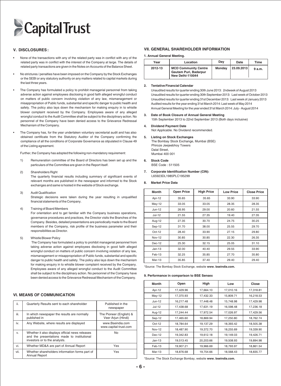

#### **V. DISCLOSURES :**

- None of the transactions with any of the related party was in conflict with any of the related party was in conflict with the interest of the Company at large. The details of related party transactions are given in the Notes on Accounts of the Balance Sheet.
- No strictures / penalties have been imposed on the Company by the Stock Exchanges or the SEBI or any statutory authority on any matters related to capital markets during the last three years.
- The Company has formulated a policy to prohibit managerial personnel from taking adverse action against employees disclosing in good faith alleged wrongful conduct on matters of public concern involving violation of any law, mismanagement or misappropriation of Public funds, substantial and specific danger to public health and safety. The policy also lays down the mechanism for making enquiry in to whistle blower complaint received by the Company. Employees aware of any alleged wrongful conduct to the Audit Committee shall be subject to the disciplinary action. No personnel of the Company have been denied access to the Grievance Redressal Mechanism of the Company.
- The Company has, for the year undertaken voluntary secretarial audit and has also obtained certificate from the Statutory Auditor of the Company confirming the compliance of all the conditions of Corporate Governance as stipulated in Clause 49 of the Listing agreement.

Further, the Company has adopted the following non-mandatory requirement:

- 1) Remuneration committee of the Board of Directors has been set up and the particulars of the Committee are given in the Report itself.
- 2) Shareholders Right

The quarterly financial results including summary of significant events of relevant months are published in the newspaper and informed to the Stock exchanges and same is hosted in the website of Stock exchange.

- 3) Audit Qualification Strategic decisions were taken during the year resulting in unqualified financial statements of the Company.
- 4) Training of Board Members

For orientation and to get familiar with the Company business operations, governance procedures and practices, the Director visits the Branches of the Company. Besides, detailed presentations are periodically made to the Board members of the Company, risk profile of the business parameter and their responsibilities as Director.

5) Whistle Blower Policy

The Company has formulated a policy to prohibit managerial personnel from taking adverse action against employees disclosing in good faith alleged wrongful conduct on matters of public concern involving violation of any law, mismanagement or misappropriation of Public funds, substantial and specific danger to public health and safety. The policy also lays down the mechanism for making enquiry in to whistle blower complaint received by the Company. Employees aware of any alleged wrongful conduct to the Audit Committee shall be subject to the disciplinary action. No personnel of the Company have been denied access to the Grievance Redressal Mechanism of the Company.

#### **VI. MEANS OF COMMUNICATION**

| ii.  | Quarterly Results sent to each shareholder                                                                                      | Published in the<br>newspaper                 |
|------|---------------------------------------------------------------------------------------------------------------------------------|-----------------------------------------------|
| iii. | In which newspaper the results are normally<br>published in                                                                     | The Pioneer (English) &<br>Veer Arjun (Hindi) |
| iv.  | Any Website, where results are displayed                                                                                        | www.Bseindia.com<br>www.capital-trust.com     |
| V.   | Whether it also displays official news releases<br>and the presentations made to institutional<br>investors or to the analysts. | <b>No</b>                                     |
| vi.  | Whether MD&A are part of Annual Report                                                                                          | Yes                                           |
| vii. | Whether shareholders information forms part of<br><b>Annual Report</b>                                                          | Yes                                           |

#### **VII. GENERAL SHAREHOLDER INFORMATION**

**1. Annual General Meeting.**

| Year    | Location                                                                 | Day           | Date       | <b>Time</b> |
|---------|--------------------------------------------------------------------------|---------------|------------|-------------|
| 2012-13 | <b>MCD Community Centre</b><br>Gautam Puri, Badarpur<br>New Delhi-110044 | <b>Monday</b> | 23.09.2013 | 9 a.m.      |

#### **2. Tentative Financial Calendar**

Unaudited results for quarter ending 30th June 2013: 2ndweek of August 2013 Unaudited results for quarter ending 30th September 2013: Last week of October 2013 Unaudited results for quarter ending 31st December 2013: Last week of January 2013 Audited results for the year ending 31st March 2014: Last week of May 2014 Annual General Meeting for the year ended 31st March 2014: July - August 2014

**3. Date of Book Closure of Annual General Meeting** 15th September 2013 to 22nd September 2013 (Both days inclusive)

#### **4. Dividend Payment Date**

Not Applicable. No Dividend recommended.

- **5. Listing on Stock Exchanges** The Bombay Stock Exchange, Mumbai (BSE) Phiroze Jeejeebhoy Towers Dalal Street, Mumbai 400 001
- **6. Stock Code** BSE Code : 511505
- **7. Corporate Identification Number (CIN):** L65923DL1985PLC195299
- **8. Market Price Data**

| <b>Month</b>  | <b>Open Price</b> | <b>High Price</b> | <b>Low Price</b> | <b>Close Price</b> |
|---------------|-------------------|-------------------|------------------|--------------------|
| Apr-12        | 35.65             | 35.65             | 33.90            | 33.90              |
| May-12        | 33.05             | 33.05             | 28.35            | 28.35              |
| $Jun-12$      | 26.95             | 29.00             | 20.60            | 21.55              |
| Jul-12        | 21.55             | 27.35             | 19.40            | 27.35              |
| Aug-12        | 27.35             | 30.70             | 24.75            | 30.25              |
| Sep-12        | 31.70             | 38.00             | 25.55            | 29.70              |
| $Oct-12$      | 28.40             | 33.90             | 27.15            | 29.80              |
| <b>Nov-12</b> | 30.85             | 30.85             | 22.30            | 26.35              |
| Dec-12        | 25.30             | 32.15             | 25.05            | 31.10              |
| $Jan-13$      | 32.00             | 40.40             | 29.55            | 33.90              |
| Feb-13        | 32.25             | 35.85             | 27.70            | 35.80              |
| Mar-13        | 35.85             | 37.40             | 29.40            | 29.40              |

\*Source: The Bombay Stock Exchange, website **www. bseindia.com.**

#### **9. Performance in comparison to BSE Sensex**

| Month         | Open      | High      | Low       | Close     |
|---------------|-----------|-----------|-----------|-----------|
| Apr-12        | 17,429.96 | 17,664.10 | 17,010.16 | 17,318.81 |
| May-12        | 17,370.93 | 17,432.33 | 15,809.71 | 16,218.53 |
| $Jun-12$      | 16.217.48 | 17,448.48 | 15.748.98 | 17,429.98 |
| Jul-12        | 17,438.68 | 17,631.19 | 16,598.48 | 17,236.18 |
| Aug-12        | 17,244.44 | 17,972.54 | 17,026.97 | 17,429.56 |
| Sep-12        | 17,465.60 | 18,869.94 | 17,250.80 | 18,762.74 |
| $Oct-12$      | 18,784.64 | 19,137.29 | 18,393.42 | 18,505.38 |
| <b>Nov-12</b> | 18,487.90 | 19,372.70 | 18,255.69 | 19,339.90 |
| Dec-12        | 19,342.83 | 19,612.18 | 19,149.03 | 19,426.71 |
| $Jan-13$      | 19,513.45 | 20,203.66 | 19,508.93 | 19,894.98 |
| Feb-13        | 19,907.21 | 19,966.69 | 18,793.97 | 18,861.54 |
| Mar-13        | 18,876.68 | 19,754.66 | 18,568.43 | 18,835.77 |

\*Source: The Stock Exchange Bombay, website **www. bseindia.com.**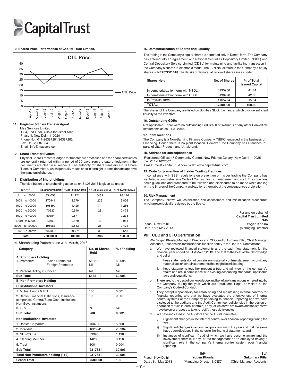

#### **10. Shares Price Performance of Capital Trust Limited.**



#### **11. Registrar & Share Transfer Agent**

Mas Services Limited T-34, IInd Floor, Okhla Industrial Area, Phase II, New Delhi-110020 Phone No.: 011-26387281/26387282 Fax.011- 26387384 Email: info@masserv.com

#### **12. Share Transfer System**

Physical Share Transfers lodged for transfer are processed and the share certificates are generally returned within a period of 30 days from the date of lodgment if the documents are clear in all respects. The authority for share transfers etc. is Share Transfer Committee, which generally meets once in fortnight to consider and approve the transfers of shares.

#### **13. Distribution of Shareholdings**

The distribution of shareholding as on as on 31.03.2013 is given as under:

| <b>Month</b>       | No. of shares held | % of Total Shares | No. of shares held | % of Total Shares |
|--------------------|--------------------|-------------------|--------------------|-------------------|
| 5000<br>Up<br>to   | 834053             | 11.121            | 5489               | 93.176            |
| to 10000<br>5001   | 170941             | 2.279             | 226                | 3.836             |
| 10001 to 20000     | 106890             | 1.425             | 74                 | 1.256             |
| 20001 to 30000     | 70532              | 0.940             | 28                 | 0.475             |
| 30001 to 40000     | 50354              | 0.671             | 14                 | 0.238             |
| 40001 to 50000     | 13409              | 0.179             | 3                  | 0.051             |
| to 100000<br>50001 | 195983             | 2.613             | 25                 | 0.424             |
| 100001 & above     | 6057838            | 80.771            | 32                 | 0.543             |
| Total              | 75000000           | 100.00            | 5946               | 100.00            |

14. Shareholding Pattern as on 31st March, 2013

| Category                                                                                                              | No. of Shares<br>Held | % of holding  |
|-----------------------------------------------------------------------------------------------------------------------|-----------------------|---------------|
| A. Promoters Holding<br>1 Promoters -<br>Indian Promoters<br>Foreign Promoters                                        | 5182119<br>Nil        | 69.095<br>Nil |
| 2. Persons Acting in Concert                                                                                          | Nil                   | Nil           |
| <b>Sub Total</b>                                                                                                      | 5182119               | 69.095        |
| <b>B. Non Promoters Holding</b>                                                                                       |                       |               |
| <b>C. Institutional Investors</b>                                                                                     |                       |               |
| 1. Mutual Funds & UTI                                                                                                 | 100                   | 0.001         |
| 2. Banks, Financial Institutions, Insurance<br>companies, Central/State Govt. Institutions.<br>Non Govt. Institutions | 100                   | 0.001         |
| $3.$ FII's                                                                                                            | Nil                   | Nil           |
| <b>Sub Total</b>                                                                                                      | 200                   | 0.002         |
| <b>Non Institutional Investors</b>                                                                                    |                       |               |
| 1. Bodies Corporate                                                                                                   | 400730                | 5.560         |
| 2. Individual                                                                                                         | 1825241               | 23.984        |
| 3. NRIs/OCBs                                                                                                          | 89990                 | 1.198         |
| 4. Clearing Member                                                                                                    | 1420                  | 0.156         |
| 5. Trust                                                                                                              | 300                   | 0.004         |
| <b>Sub Total</b>                                                                                                      | 2317681               | 30.903        |
| Total Non Promoters holding (1+2)                                                                                     | 2317681               | 30.905        |
| <b>Grand Total</b>                                                                                                    | 7500000               | 100           |

#### **15. Dematerialization of Shares and liquidity.**

The trading in the Company's equity shares is permitted only in Demat form. The Company has entered into an agreement with National Securities Depository Limited (NSDL) and Central Depository Service Limited (CDSL) for maintaining and facilitating transaction in the Company's shares in electronic mode. The ISIN No. allotted to the Company's equity shares is **INE707C01018.**The details of dematerialization of shares are as under:

| <b>Shares Held</b>                  | No. of Shares | % of Total<br><b>Issued Capital</b> |
|-------------------------------------|---------------|-------------------------------------|
| In dematerialization form with NSDL | 3135936       | 41.81                               |
| In dematerialization form with CDSL | 3198290       | 42.65                               |
| In Physical form                    | 1165774       | 15.54                               |
| TOTAL                               | 7500000       | 100.00                              |

The shares of the Company are listed on Bombay Stock Exchange, which provide sufficient liquidity to the investors.

#### **16. Outstanding GDRs**

Not Applicable. There were no outstanding GDRs/ADRs/ Warrants or any other Convertible Instruments as on 31.03.2013.

#### **17. Plant locations**

The Company is a Non-Banking Finance Company (NBFC) engaged in the business of Financing. Hence there is no plant location. However, the Company has Branches in parts of Uttar Pradesh and Uttrakhand.

#### **18. Address for correspondence**

Registered Office: 47 Community Centre, New Friends Colony, New Delhi-110025 Tel: 011-41627007

Email: info@ capital-trust.com, Web: www.capital-trust.com

#### **19. Code for prevention of Insider Trading Practices**

In compliance with SEBI regulations on prevention of Insider trading the Company has instituted a comprehensive Code of Conduct for its management and staff. The code lays down guidelines and procedure to be followed and disclosures to be made while dealing with the Shares of the Company and cautions them about the consequences of violation.

#### **20. Risk Management**

The Company follows well-established risk assessment and minimization procedures which are periodically reviewed by the Board.

| For and on behalf of         |
|------------------------------|
| <b>Capital Trust Limited</b> |
| Sd/-                         |
| Yogen Khosla                 |
| (Managing Director)          |
|                              |

#### **VIII. CEO and CFO Certification**

We, Yogen Khosla, Managing Director and CEO and Sukumara Pillai, Chief Manager Accounts, responsible for the finance function certify to the Board of Directors that:

- a. We have reviewed financial statements and the cash flow statement for the financial year ended on 31st March 2013 and that to the best of their knowledge and belief :
	- i. these statements do not contain any materially untrue statement or omit any material fact or contain statements that might be misleading;
	- ii. these statements together present a true and fair view of the company's affairs and are in compliance with existing accounting standards, applicable laws and regulations.
- b. There are, to the best of our knowledge and belief, no transactions entered into by the Company during the year which are fraudulent, illegal or violate of the Company's Code of Conduct.
- c. They accept responsibility for establishing and maintaining internal controls for financial reporting and that we have evaluated the effectiveness of internal<br>control systems of the Company pertaining to financial reporting and we have<br>disclosed to the auditors and the Audit Committee, deficiencies in t operation of such internal controls, if any, of which we are aware and the steps we have taken or propose to take to rectify these deficiencies.
- d. We have indicated to the Auditors and the Audit Committee
	- i) Significant changes in the internal control over financial reporting during the year;
	- ii) Significant changes in accounting policies during the year and that the same have been disclosed in the notes to the financial statements; and
	- iii) Instances of significant fraud of which we have become aware and the involvement therein, if any, of the management or an employee having a significant role in the company's internal control system over financial reporting.

| e : New Delhi  |       |
|----------------|-------|
| : 8th May 2013 | (Mana |

**Sd/- Yogen Khosla Sd/- Sukumara Pillai** (Chief Manager Accounts)

Plac Date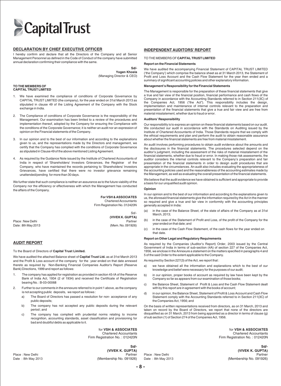

#### **DECLARATION BY CHIEF EXECUTIVE OFFICER**

I hereby confirm and declare that all the Directors of the Company and all Senior Management Personnel as defined in the Code of Conduct of the company have submitted annual declaration confirming their compliance with the same.

**Sd/-**

**Yogen Khosla** (Managing Director & CEO)

#### **TO THE MEMBERS OF CAPITAL TRUST LIMITED**

- We have examined the compliance of conditions of Corporate Governance by CAPITAL TRUST LIMITED (the company), for the year ended on 31st March 2013 as stipulated in clause 49 of the Listing Agreement of the Company with the Stock exchange in India.
- The Compliance of conditions of Corporate Governance is the responsibility of the Management. Our examination has been limited to a review of the procedures and implementation thereof, adopted by the Company for ensuring the Compliance with the conditions of the Corporate Governance; it is neither an audit nor an expression of opinion on the Financial statements of the Company.
- 3. In our opinion and to the best of our information and according to the explanations given to us, and the representations made by the Directors and management, we certify that the Company has complied with the conditions of Corporate Governance as stipulated in Clause 49 of the above mentioned Listing Agreement.
- 4. As required by the Guidance Note issued by the Institute of Chartered Accountants of India in respect of 'Shareholders/ Investors Grievances, the Registrar of the Company, who have maintained the records pertaining to 'Shareholders/ Investors Grievances, have certified that there were no investor grievance remaining unattended/pending for more than 30 days.

We further state that such compliance is neither an assurance as to the future viability of the Company nor the efficiency or effectiveness with which the Management has conducted the affairs of the Company.

#### **For VSH & ASSOCIATES**

Sd/-

Chartered Accountants Firm Registration No. 012420N

|                    | $\sim$            |
|--------------------|-------------------|
|                    | (VIVEK K. GUPTA)  |
| Place: New Delhi   | Partner           |
| Date: 8th May 2013 | (Mem. No. 091926) |
|                    |                   |

#### **AUDIT REPORT**

#### To the Board of Directors of **Capital Trust Limited.**

We have audited the attached Balance sheet of **Capital Trust Ltd.** as at 31st March 2013 and the Profit & Loss account of the company for the year ended on that date annexed thereto as required by Non-Banking Financial Companies Auditor's Report (Reserve Bank) Directions, 1999 and report as follows:

- 1. The company has applied for registration as provided in section 45-IA of the Reserve Bank of India Act, 1934 (2 of 1934) and received the Certificate of Registration bearing No. : B-03-00068
- 2. Further to our comments in the annexure referred to in point 1 above, as the company is not accepting public deposits, we report as follows :
	- a) The Board of Directors has passed a resolution for non- acceptance of any public deposits;
	- b) The company has not accepted any public deposits during the relevant period ; and
	- c) The company has complied with prudential norms relating to income recognition, accounting standards, asset classification and provisioning for bad and doubtful debts as applicable to it.

for **VSH & ASSOCIATES** Chartered Accountants Firm Registration No. : 012420N

#### **Sd/-**

**(VIVEK K. GUPTA)**

Place : New Delhi Date : 8th May 2013

Place : New Delhi Date : 8th May 2013 Partner (Membership No. 091926)

#### **INDEPENDENT AUDITORS' REPORT**

#### TO THE MEMBERS OF **CAPITAL TRUST LIMITED**

#### **Report on the Financial Statements**

We have audited the accompanying Financial Statement of CAPITAL TRUST LIMITED ('the Company') which comprise the balance sheet as at 31 March 2013, the Statement of Profit and Loss Account and the Cash Flow Statement for the year then ended and a summary of significant accounting policies and other explanatory information.

#### **Management's Responsibility for the Financial Statements**

The Management is responsible for the preparation of these financial statements that give a true and fair view of the financial position, financial performance and cash flows of the Company in accordance with the Accounting Standards referred to in Section 211(3C) of<br>the Companies Act, 1956 ("the Act"). This responsibility includes the design,<br>implementation and maintenance of internal controls releva presentation of the financial statements that give a true and fair view and are free from material misstatement, whether due to fraud or error.

#### **Auditors' Responsibility**

Our responsibility is to express an opinion on these financial statements based on our audit. We conducted our audit in accordance with the Standards on Auditing issued by the Institute of Chartered Accountants of India. Those Standards require that we comply with the ethical requirements and plan and perform the audit to obtain reasonable assurance about whether the financial statements are free from material misstatement.

An audit involves performing procedures to obtain audit evidence about the amounts and the disclosures in the financial statements. The procedures selected depend on the auditor's judgment, including the assessment of the risks of material misstatement of the financial statements, whether due to fraud or error. In making those risk assessments, the auditor considers the internal controls relevant to the Company's preparation and fair presentation of the financial statements in order to design audit procedures that are appropriate in the circumstances. An audit also includes evaluating the appropriateness of the accounting policies used and the reasonableness of the accounting estimates made by the Management, as well as evaluating the overall presentation of the financial statements.

We believe that the audit evidence we have obtained is sufficient and appropriate to provide a basis for our unqualified audit opinion.

#### **Opinion**

In our opinion and to the best of our information and according to the explanations given to us, the aforesaid financial statements give the information required by the Act in the manner so required and give a true and fair view in conformity with the accounting principles generally accepted in India:

- (a) in the case of the Balance Sheet, of the state of affairs of the Company as at 31st March, 2013;
- (b) in the case of the Statement of Profit and Loss, of the profit of the Company for the year ended on that date; and
- (c) in the case of the Cash Flow Statement, of the cash flows for the year ended on that date.

#### **Report on Other Legal and Regulatory Requirements**

As required by the Companies (Auditor's Report) Order, 2003 issued by the Central Government of India in terms of sub-section (4A) of section 227 of the Companies Act, 1956, we enclose in the Annexure a statement on the matters specified in paragraphs 4 and 5 of the said Order to the extent applicable to the Company.

As required by Section 227(3) of the Act, we report that :

- a) we have obtained all the information and explanations which to the best of our knowledge and belief were necessary for the purposes of our audit;
- b) in our opinion, proper books of account as required by law have been kept by the Company so far as appears from our examination of those books;
- c) the Balance Sheet, Statement of Profit & Loss and the Cash Flow Statement dealt with by this report are in agreement with the books of account;
- d) in our opinion, the Balance Sheet, Statement of Profit & Loss Account and Cash Flow Statement comply with the Accounting Standards referred to in Section 211(3C) of the Companies Act, 1956; and

On the basis of written representations received from directors, as on 31 March, 2013 and taken on record by the Board of Directors, we report that none of the directors are disqualified as on 31 March, 2013 from being appointed as a director in terms of clause (g) of sub section (1) of Section 274 of the Companies Act, 1956.

> for **VSH & ASSOCIATES** Chartered Accountants Firm Registration No. : 012420N

> > **Sd/- (VIVEK K. GUPTA)** Partner (Membership No. 091926)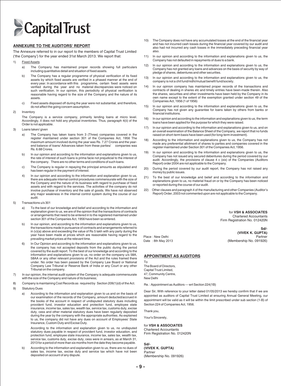

#### **ANNEXURE TO THE AUDITORS' REPORT**

The Annexure referred to in our report to the members of Capital Trust Limited ('the Company') for the year ended 31st March 2013. We report that:

- 1) Fixed Assets
	- a) The Company has maintained proper records showing full particulars including quantitative detail and situation of fixed assets.
	- b) The Company has a regular programme of physical verification of its fixed assets by which fixed assets are verified in a phased manner at the end of every year. In accordance with this programme, certain fixed assets were verified during the year and no material discrepancies were noticed on such verification. In our opinion, this periodicity of physical verification is reasonable having regard to the size of the Company and the nature of its assets.
	- c) Fixed assets disposed off during the year were not substantial, and therefore, do not affect the going concern assumption.
- 2) Inventory

The Company is a service company, primarily lending loans at micro level. Accordingly, it does not hold any physical inventories. Thus, paragraph 4(ii) of the Order is not applicable.

- 3) Loans taken/ given
	- a) The Company has taken loans from 3 (Three) companies covered in the register maintained under section 301 of the Companies Act, 1956 The maximum amount involved during the year was Rs. 7.27 Crores and the yearend balance of loans/ Advances taken from these parties/ companies was Rs. 6.68 Crores.
	- b) In our opinion and according to the information and explanations given to us, the rate of interest of such loans is prima facie not prejudicial to the interest of the company. There are no other terms and conditions of such loans
	- c) The Company is regular in repaying the principal amounts as stipulated and has been regular in the payment of interest.
	- 4) In our opinion and according to the information and explanation given to us, there are adequate internal control procedures commensurate with the size of the Company and the nature of its business with regard to purchase of fixed assets and with regard to the services. The activities of the company do not involve purchase of inventory and the sale of goods. We have not observed any major weakness in the internal control system during the course of our audit.
- 5) Transactions u/s 301
	- To the best of our knowledge and belief and according to the information and explanation given to us, we are of the opinion that the transactions of contracts or arrangements that need to be entered in to the registered maintained under section 301 of the Companies Act, 1956 have been so entered.
	- b) In our opinion, and according to the information and explanations given to us, the transactions made in pursuance of contracts and arrangements referred to in (v)(a) above and exceeding the value of Rs 5 lakh with any party during the year have been made at prices which are reasonable having regard to the prevailing market prices at the relevant time.
	- 6) In Our Opinion and according to the information and explanations given to us, the company has not accepted deposits from the public during the period covered by the audit report. To the best of our knowledge and according to the information and explanations given to us, no order on the company u/s 58A, 58AA or any other relevant provisions of the Act and the rules framed there under. No order has been passed by the Company Law Board or National Company Law Tribunal or Reserve Bank of India or any Court or any other Tribunal on the company.
- 7) In our opinion, the internal audit system of the Company is adequate commensurate with the size of the Company and nature of its business:
- 8) Company is maintaining Cost Records as required by Section 209(1)(d) of the Act.
- 9) Statutory Dues
	- a) According to the information and explanation given to us and on the basis of our examination of the records of the Company, amount deducted/accrued in the books of the account in respect of undisputed statutory dues including provident fund, investor education and protection fund, employee state insurance, income tax, sales tax, wealth tax, service tax, customs duty, excise duty, cess and other material statutory dues have been regularly deposited during the year by the company with the appropriate authorities. As explained to us, the company did not have any dues on account of Employees' State Insurance, Custom Duty and Excise Duty.

According to the information and explanation given to us, no undisputed statutory dues payable in respect of provident fund, investor education, and protection fund, employee state insurance, income tax, sales tax, wealth tax, service tax, customs duty, excise duty, cess were in arrears, as at March 31, 2013 for a period of more than six months from the date they become payable.

b) According to the information and explanation given to us, there are no dues of sales tax, income tax, excise duty and service tax which have not been deposited on account of any dispute.

- 10) The Company does not have any accumulated losses at the end of the financial year and has not incurred cash losses during the financial year covered by our audit and also had not incurred any cash losses in the immediately preceding financial year also.
- 11) In our opinion and according to the information and explanations given to us, the Company has not defaulted in repayments of dues to a bank.
- 12) In our opinion and according to the information and explanations given to us, the Company has not granted any loans and advances on the basis of security by way of pledge of shares, debentures and other securities.
- 13) In our opinion and according to the information and explanations given to us, the company is not a chit fund/nidhi/mutual benefit fund/society.
- 14) In our opinion company has maintained proper records of the transactions and contracts of dealing in shares etc and timely entries have been-made therein. Also the shares, securities and other investments have been held by the Company in its own name except to the extent of the exemption granted under section 49 of the Companies Act, 1956 (1 of 1956)
- 15) In our opinion and according to the information and explanations given to us, the Company has not given any guarantee for loans taken by others from banks or financial institutions.
- 16) In our opinion and according to the information and explanations given to us, the term loans have been applied for the purpose for which they were raised.
- 17) In our opinion and according to the information and explanations given to us, and on an overall examination of the Balance Sheet of the Company, we report that no funds raised on short-term basis have been used (for long-term investment).
- 18) According to the information and explanations given to us, the Company has not made any preferential allotment of shares to parties and companies covered in the register maintained under Section 301 of the Companies Act, 1956.
- 19) In our opinion and according to the information and explanations given to us, the Company has not issued any secured debentures during the period covered by our audit. Accordingly, the provisions of clause 4 c (xix) of the Companies (Auditors Report) order 2004 are not applicable to the Company.
- 20) During the period covered by our audit report, the Company has not raised any money by public issues.
- 21) To the best of our knowledge and belief and according to the information and explanations given to us, no material fraud on or by the Company has been noticed or reported during the course of our audit.
- 22) Other clauses and paragraph 4 of the manufacturing and other Companies (Auditor's Report) Order, 2003 not commented upon are not applicable to the Company.

for **VSH & ASSOCIATES** Chartered Accountants Firm Registration No. 012420N

**(VIVEK K. GUPTA)**

(Membership No. 091926)

**Sd/-**

Partner

Place : New Delhi Date : 8th May 2013

**APPOINTMENT AS AUDITORS**

To The Board of Directors, Capital Trust Limited, 47, Community Centre, New Delhi

Re. : Appointment as Auditors --- wrt Section 224(1B)

Dear Sir, With reference to your letter dated 01/05/2013 we hereby confirm that if we are appointed as auditors of Capital Trust Limited at ensuring Annual General Meeting, our appointment will be valid as it will be within the limit prescribed under sub section (1-B) of Section 224 of Companies Act, 1956.

Thank you,

Your's Sincerely,

#### for **VSH & ASSOCIATES**

Chartered Accountants Firm Registration No. 012420N

**Sd/-** Partner (Membership No. 091926) **(VIVEK K. GUPTA)**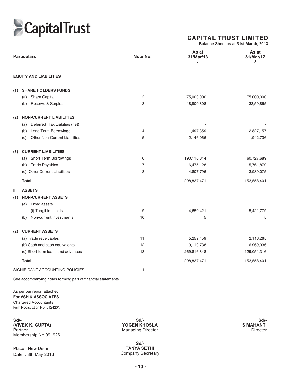

### **CAPITAL TRUST LIMITED**

**Balance Sheet as at 31st March, 2013**

| <b>Particulars</b>                          | Note No. | As at<br>31/Mar/13<br>₹ | As at<br>31/Mar/12<br>₹ |
|---------------------------------------------|----------|-------------------------|-------------------------|
| <b>EQUITY AND LIABILITIES</b>               |          |                         |                         |
| <b>SHARE HOLDERS FUNDS</b><br>(1)           |          |                         |                         |
| Share Capital<br>(a)                        | 2        | 75,000,000              | 75,000,000              |
| Reserve & Surplus<br>(b)                    | 3        | 18,800,808              | 33,59,865               |
| <b>NON-CURRENT LIABILITIES</b><br>(2)       |          |                         |                         |
| Deferred Tax Liabities (net)<br>(a)         |          |                         |                         |
| Long Term Borrowings<br>(b)                 | 4        | 1,497,359               | 2,827,157               |
| <b>Other Non-Current Liabilities</b><br>(c) | 5        | 2,146,066               | 1,942,736               |
| <b>CURRENT LIABILITIES</b><br>(3)           |          |                         |                         |
| Short Term Borrowings<br>(a)                | 6        | 190,110,314             | 60,727,689              |
| <b>Trade Payables</b><br>(b)                | 7        | 6,475,128               | 5,761,879               |
| <b>Other Current Liabilities</b><br>(c)     | 8        | 4,807,796               | 3,939,075               |
| <b>Total</b>                                |          | 298,837,471             | 153,558,401             |
| <b>ASSETS</b><br>Ш                          |          |                         |                         |
| <b>NON-CURRENT ASSETS</b><br>(1)            |          |                         |                         |
| <b>Fixed assets</b><br>(a)                  |          |                         |                         |
| (i) Tangible assets                         | 9        | 4,650,421               | 5,421,779               |
| Non-current investments<br>(b)              | 10       | 5                       | 5                       |
| <b>CURRENT ASSETS</b><br>(2)                |          |                         |                         |
| (a) Trade receivables                       | 11       | 5,259,459               | 2,116,265               |
| (b) Cash and cash equivalents               | 12       | 19,110,738              | 16,969,036              |
| (c) Short-term loans and advances           | 13       | 269,816,848             | 129,051,316             |
| <b>Total</b>                                |          | 298,837,471             | 153,558,401             |
| SIGNIFICANT ACCOUNTING POLICIES             | 1        |                         |                         |

See accompanying notes forming part of financial statements

As per our report attached **For VSH & ASSOCIATES** Chartered Accountants Firm Registration No. 012420N

**Sd/- (VIVEK K. GUPTA) Partner** Membership No.091926

Place : New Delhi Date : 8th May 2013

**Sd/- YOGEN KHOSLA** Managing Director

**Sd/- S MAHANTI** Director

**Sd/- TANYA SETHI** Company Secretary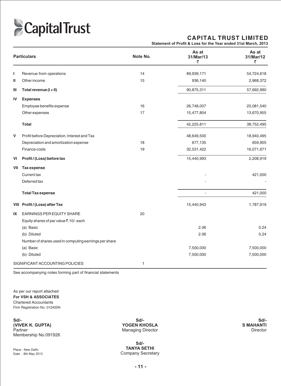

## **CAPITAL TRUST LIMITED**

**Statement of Profit & Loss for the Year ended 31st March, 2013**

|     | <b>Particulars</b>                                    | Note No. | As at<br>31/Mar/13<br>₹ | As at<br>31/Mar/12<br>₹ |
|-----|-------------------------------------------------------|----------|-------------------------|-------------------------|
| L   | Revenue from operations                               | 14       | 89,939,171              | 54,724,618              |
| Ш   | Other income                                          | 15       | 936,140                 | 2,968,372               |
| Ш   | Total revenue $(I + II)$                              |          | 90,875,311              | 57,692,990              |
| IV  | <b>Expenses</b>                                       |          |                         |                         |
|     | Employee benefits expense                             | 16       | 26,748,007              | 25,081,540              |
|     | Other expenses                                        | 17       | 15,477,804              | 13,670,955              |
|     | <b>Total</b>                                          |          | 42,225,811              | 38,752,495              |
| V   | Profit before Depreciation, Interest and Tax          |          | 48,649,500              | 18,940,495              |
|     | Depreciation and amortization expense                 | 18       | 677,135                 | 659,905                 |
|     | Finance costs                                         | 19       | 32,531,422              | 16,071,671              |
| VI  | Profit/(Loss) before tax                              |          | 15,440,993              | 2,208,919               |
| VII | Tax expense                                           |          |                         |                         |
|     | Current tax                                           |          |                         | 421,000                 |
|     | Deferred tax                                          |          |                         |                         |
|     | <b>Total Tax expense</b>                              |          | ÷,                      | 421,000                 |
|     | VIII Profit/(Loss) after Tax                          |          | 15,440,943              | 1,787,919               |
| IX  | EARNINGS PER EQUITY SHARE                             | 20       |                         |                         |
|     | Equity shares of par value ₹.10/- each                |          |                         |                         |
|     | (a) Basic                                             |          | 2.06                    | 0.24                    |
|     | (b) Diluted                                           |          | 2.06                    | 0.24                    |
|     | Number of shares used in computing earnings per share |          |                         |                         |
|     | (a) Basic                                             |          | 7,500,000               | 7,500,000               |
|     | (b) Diluted                                           |          | 7,500,000               | 7,500,000               |
|     | SIGNIFICANT ACCOUNTING POLICIES                       | 1        |                         |                         |

See accompanying notes forming part of financial statements

As per our report attached **For VSH & ASSOCIATES** Chartered Accountants Firm Registration No. 012420N

**Sd/- (VIVEK K. GUPTA) Partner** Membership No.091926

Place : New Delhi Date : 8th May 2013

**Sd/- YOGEN KHOSLA** Managing Director

**Sd/- S MAHANTI** Director

**Sd/- TANYA SETHI** Company Secretary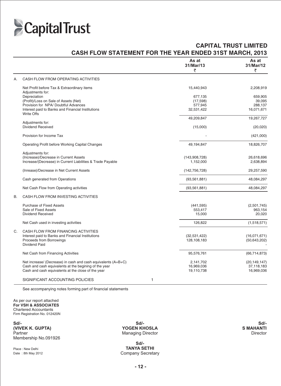

## **CAPITAL TRUST LIMITED CASH FLOW STATEMENT FOR THE YEAR ENDED 31ST MARCH, 2013**

|           |                                                                                                                                                                              | As at<br>31/Mar/13<br>₹                       | As at<br>31/Mar/12<br>₹                    |
|-----------|------------------------------------------------------------------------------------------------------------------------------------------------------------------------------|-----------------------------------------------|--------------------------------------------|
| А.        | CASH FLOW FROM OPERATING ACTIVITIES                                                                                                                                          |                                               |                                            |
|           | Net Profit before Tax & Extraordinary items<br>Adjustments for:                                                                                                              | 15,440,943                                    | 2,208,919                                  |
|           | Depreciation<br>(Profit)/Loss on Sale of Assets (Net)<br>Provision for NPA/Doubtful Advances<br>Interest paid to Banks and Financial Institutions                            | 677,135<br>(17, 598)<br>577,945<br>32,531,422 | 659,905<br>39,095<br>288,137<br>16,071,671 |
|           | <b>Write Offs</b>                                                                                                                                                            | 49,209,847                                    | 19,267,727                                 |
|           | Adjustments for:<br>Dividend Received                                                                                                                                        | (15,000)                                      | (20, 020)                                  |
|           | Provision for Income Tax                                                                                                                                                     |                                               | (421,000)                                  |
|           | Operating Profit before Working Capital Changes                                                                                                                              | 49,194,847                                    | 18,826,707                                 |
|           | Adjustments for:<br>(Increase)/Decrease in Current Assets<br>Increase/(Decrease) in Current Liabilities & Trade Payable                                                      | (143,908,728)<br>1,152,000                    | 26,618,696<br>2,638,894                    |
|           | (Inrease)/Decrease in Net Current Assets                                                                                                                                     | (142,756,728)                                 | 29,257,590                                 |
|           | Cash generated from Operations                                                                                                                                               | (93, 561, 881)                                | 48,084,297                                 |
|           | Net Cash Flow from Operating activities                                                                                                                                      | (93, 561, 881)                                | 48,084,297                                 |
| <b>B.</b> | CASH FLOW FROM INVESTING ACTIVITIES                                                                                                                                          |                                               |                                            |
|           | <b>Purchase of Fixed Assets</b><br>Sale of Fixed Assets<br>Dividend Received                                                                                                 | (441, 595)<br>553,417<br>15,000               | (2,501,745)<br>963,154<br>20,020           |
|           | Net Cash used in investing activities                                                                                                                                        | 126,822                                       | (1,518,571)                                |
| C.        | CASH FLOW FROM FINANCING ACTIVITIES<br>Interest paid to Banks and Financial Institutions<br>Proceeds from Borrowings<br>Dividend Paid                                        | (32, 531, 422)<br>128,108,183                 | (16,071,671)<br>(50, 643, 202)             |
|           | Net Cash from Financing Activities                                                                                                                                           | 95,576,761                                    | (66, 714, 873)                             |
|           | Net increase/ (Decrease) in cash and cash equivalents (A+B+C)<br>Cash and cash equivalents at the begining of the year<br>Cash and cash equivalents at the close of the year | 2,141,702<br>16,969,036<br>19,110,738         | (20, 149, 147)<br>37,118,183<br>16,969,036 |
|           | SIGNIFICANT ACCOUNTING POLICIES<br>1                                                                                                                                         |                                               |                                            |

See accompanying notes forming part of financial statements

As per our report attached **For VSH & ASSOCIATES** Chartered Accountants Firm Registration No. 012420N

**Sd/- (VIVEK K. GUPTA)** Partner Membership No.091926

Place : New Delhi Date : 8th May 2012

**Sd/- YOGEN KHOSLA** Managing Director

**Sd/- S MAHANTI Director** 

**Sd/- TANYA SETHI** Company Secretary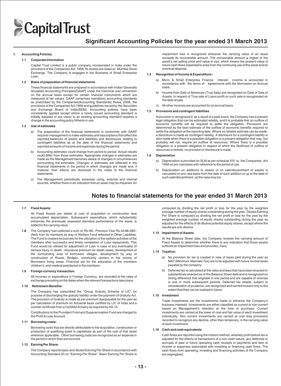

## **Significant Accounting Policies for the year ended 31 March 2013**

#### **1. Accounting Policies.**

#### **1.1 Corporate Information**

Capital Trust Limited is a public company incorporated in India under the provisions of the Companies Act, 1956. Its shares are listed on Mumbai Stock Exchange. The Company is engaged in the Business of Small Enterprise Loan.

#### **1.2 Basis of preparation of financial statements**

These financial statements are prepared in accordance with Indian Generally Accepted Accounting Principles(GAAP) under the historical cost convention on the accrual basis except for certain financial instruments which are measured at fair values. GAAP comprises mandatory accounting standards as prescribed by the Companies(Accounting Standards) Rules, 2006, the provisions of the Companies Act,1956 and guidelines issued by the Securities and Exchange Board of India(SEBI). Accounting policies have been consistently applied except where a newly issued accounting standard is initially adopted or are vision to an existing accounting standard requires a change in the accounting policy hitherto in use.

#### **1.3 Use of estimates**

- a) The preparation of the financial statements in conformity with GAAP requires management to make estimates and assumptions that affect the reported balances of assets and liabilities and disclosures relating to contingent liabilities as at the date of the financial statements and reported amounts of income and expenses during the period.
- Accounting estimates could change from period to period. Actual results could differ from those estimates. Appropriate changes in estimates are made as the Management becomes aware of changes in circumstances surrounding the estimates. Changes in estimates are reflected in the financial statements in the period in which changes are made and, if material, their effects are disclosed in the notes to the financial statements.
- c) The Management periodically assesses using, external and internal sources, whether there is an indication that an asset may be impaired. An

impairment loss is recognized wherever the carrying value of an asset exceeds its recoverable amount. The recoverable amount is higher of the asset's net selling price and value in use, which means the present value of future cash flows expected to arise from the continuing use of the asset and its eventual disposal.

#### **1.4 Recognition of Income & Expenditure:-**

- a) Micro & Small Enterprise Finance Interest income is accounted in accordance with the terms of agreements with the Borrowers on Accrual basis.
- b) Income from Sale of Advances (True Sale) are recognised on Date of Sale of Assets. In respect of True sale of Loans profit on such sale is recognisded on the date of sale.
- c) All other incomes are accounted for on accrual basis.

#### **1.5 Provisions and contingent liabilities**

A provision is recognized if, as a result of a past event, the Company has a present legal obligation that can be estimated reliably, and it is probable that an outflow of economic benefits will be required to settle the obligation. Provisions are determined by the best estimate of the outflow of economic benefits required to settle the obligation at the reporting date. Where no reliable estimate can be made, a disclosure is made as contingent liability. A disclosure for a contingent liability is also made when there is a possible obligation or a present obligation that may, but probably will not, require an outflow of resources. Where there is a possible obligation or a present obligation in respect of which the likelihood of outflow of resources is remote, no provision or disclosure is made.

#### **1.6 Depreciation**

- a) Depreciation is provided on SLM as per schedule XIV to the Companies Act 1956 on pro-rata basis with reference to the period of use.
- b) Depreciation on additions to assets or on sale/discardment of assets is calculated on pro-rata basis from the date of such addition or up to the date of such sale/discardment, as the case may be.

### **Notes to financial statements for the year ended 31 March 2013**

#### **1.7 Fixed Assets:**

All Fixed Assets are stated at cost of acquisition or construction less accumulated depreciation. Subsequent expenditure, which substantially enhances the previously assessed standard performance of the asset, is added to the carrying value.

**1.8** The Company had collected a sum of 'Rs.NIL. Previous Year Rs.54,88,285/- (Net) from its members by way of Welfare Fund reflected in Other Liabilities. The Fund is created exclusively for the utilization of the welfare activities of the members after successful and timely completion of Loan repayments. This Fund would be utilized for adjustment of Loan in case of any eventuality of serious injury or death , insurance premium for death cases, development of the surrounding area of borrowers villages, development by way of construction of Roads, Bridges, community centers in the vicinity of Borrowers living areas, Financial aid for the education of the members children's, and medical assistance to the members.

#### **1.9 Foreign currency transaction:**

All incomes or expenditure in Foreign Currency, are recorded at the rates of exchange prevailing on the dates when the relevant transactions take place.

#### **1.10 Retirement Benefits:**

The Company has subscribed the "Group Gratuity Scheme of LIC" for purpose of discharging the gratuity liability under the payment of Gratuity Act. The provision of Gratuity is made as per premium due/payable for the year as per calculation of premium on Actuarial basis certified by LIC of India and a counter certificate from a Certified Actuary as required by AS-15.

Contributions to the Provident Fund and Superannuation Fund are charged to the Profit & Loss Account.

#### **1.11 Borrowing costs:**

Borrowing costs that are directly attributable to the acquisition, construction or production of qualifying asset is capitalizes as part of the cost of that asset wherever applicable. Other borrowing costs are recognized as an expense in the period in which they are incurred.

#### **1.12 Earning Per Share:**

The Company reports basic and diluted Earning Per Share in accordance with Accounting Standard 20 on "Earning Per Share". Basic Earning Per Share is computed by dividing the net profit or loss for the year by the weighted average number of equity shares outstanding during the year. Diluted Earning Per Share is computed by dividing the net profit or loss for the year by the weighted average number of equity shares outstanding during the year as adjusted for the effects of all dilutive potential equity shares, except where the results are anti-dilutive.

#### **1.13 Impairment of Assets:**

At the Balance Sheet date, the Company reviews the carrying amount of Fixed Assets to determine whether there is any indication that those assets suffered an impairment loss and provides, if any.

#### **1.14 Taxation:**

- a) No provision for tax is created in view of taxes paid during the year as MAT (Minimum Alternate Tax) are to be adjusted with future normal taxes payable by the company.
- b) Deferred tax is calculated at the rates and laws that have been enacted or substantively enacted as of the Balance Sheet date and is recognized on timing difference that originate in one period and are capable of reversal in one or more subsequent periods. Deferred tax assets, subject to consideration of prudence, are recognized and carried forward only to the extent that they can be realized in future.

#### **1.15 Investment**

Trade investments are the investments made to enhance the Company's business interests. Investments are either classified as current or non current based on Management's intention at the time of purchase. Current investments are carried at the lower of cost and fair value of each investment individually. Non current investments are carried at cost less provisions recorded to recognize any decline, other than temporary, in the carrying value of each investment.

#### **1.16 Cash and cash equivalents**

Cash flows are reported using the indirect method, whereby profit before tax is adjusted for the effects of transactions of a non-cash nature, any deferrals or accruals of past or future operating cash receipts or payments and item of income or expenses associated with investing or financing cash flows. The cash flows from operating, investing and financing activities of the Company are segregated.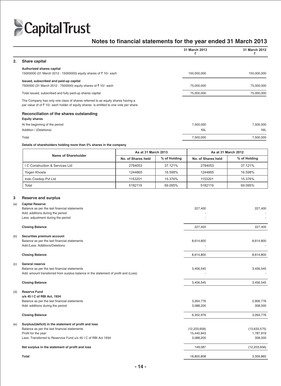

|                                                                                                                                                                                    | 31 March 2013<br>₹ | 31 March 2012<br>₹ |
|------------------------------------------------------------------------------------------------------------------------------------------------------------------------------------|--------------------|--------------------|
| Share capital                                                                                                                                                                      |                    |                    |
| Authorized shares capital<br>15000000 (31 March 2012 : 15000000) equity shares of ₹10/- each                                                                                       | 150,000,000        | 150,000,000        |
| Issued, subscribed and paid-up capital<br>7500000 (31 March 2012 : 7500000) equity shares of ₹10/- each                                                                            | 75,000,000         | 75,000,000         |
| Total issued, subscribed and fully paid-up shares capital                                                                                                                          | 75,000,000         | 75,000,000         |
| The Company has only one class of shares referred to as equity shares having a<br>par value of of $\bar{\tau}$ 10/- each holder of equity shares is entitled to one vote per share |                    |                    |
| Reconciliation of the shares outstanding                                                                                                                                           |                    |                    |
| <b>Equity shares</b>                                                                                                                                                               |                    |                    |
| At the beginning of the period                                                                                                                                                     | 7,500,000          | 7,500,000          |
| Addition / (Deletions)                                                                                                                                                             | <b>NIL</b>         | <b>NIL</b>         |
| Total                                                                                                                                                                              | 7,500,000          | 7,500,000          |

**Details of shareholders holding more than 5% shares in the company**

| Name of Shareholder             | As at 31 March 2013 |              | As at 31 March 2012 |              |  |
|---------------------------------|---------------------|--------------|---------------------|--------------|--|
|                                 | No. of Shares held  | % of Holding | No. of Shares held  | % of Holding |  |
| I C Construction & Services Ltd | 2784053             | 37.121%      | 2784053             | 37.121%      |  |
| Yogen Khosla                    | 1244865             | 16.598%      | 1244865             | 16.598%      |  |
| Indo Crediop Pvt Ltd            | 1153201             | 15.376%      | 1153201             | 15.376%      |  |
| Total                           | 5182119             | 69.095%      | 5182119             | 69.095%      |  |

#### **3 Reserve and surplus**

| (a) | <b>Capital Reserve</b><br>Balance as per the last financial statements<br>Add: additions during the period<br>Less: adjustment during the period                                               | 227,400                                   | 227.400                              |
|-----|------------------------------------------------------------------------------------------------------------------------------------------------------------------------------------------------|-------------------------------------------|--------------------------------------|
|     | <b>Closing Balance</b>                                                                                                                                                                         | 227,400                                   | 227,400                              |
| (b) | Securities premium account<br>Balance as per the last financial statements<br>Add:/Less: Additions/Deletions                                                                                   | 8,614,800                                 | 8,614,800                            |
|     | <b>Closing Balance</b>                                                                                                                                                                         | 8,614,800                                 | 8,614,800                            |
| (c) | Gereral reserve<br>Balance as per the last financial statements<br>Add: amount transferred from surplus balance in the statement of profit and (Loss)                                          | 3,456,545                                 | 3,456,545                            |
|     | <b>Closing Balance</b>                                                                                                                                                                         | 3,456,545                                 | 3,456,545                            |
| (d) | <b>Reserve Fund</b><br>u/s 45 I C of RBI Act, 1934                                                                                                                                             |                                           |                                      |
|     | Balance as per the last financial statements<br>Add: additions during the period                                                                                                               | 3,264,776<br>3,088,200                    | 2,906,776<br>358,000                 |
|     | <b>Closing Balance</b>                                                                                                                                                                         | 6,352,976                                 | 3,264,776                            |
| (e) | Surplus/(deficit) in the statement of profit and loss<br>Balance as per the last financial statements<br>Profit for the year<br>Less: Transferred to Reservice Fund u/s 45 I C of RBI Act 1934 | (12, 203, 656)<br>15,440,943<br>3,088,200 | (13,633,575)<br>1,787,919<br>358,000 |
|     | Net surplus in the statement of profit and loss                                                                                                                                                | 149,087                                   | (12, 203, 656)                       |
|     | Total                                                                                                                                                                                          | 18,800,808                                | 3,359,865                            |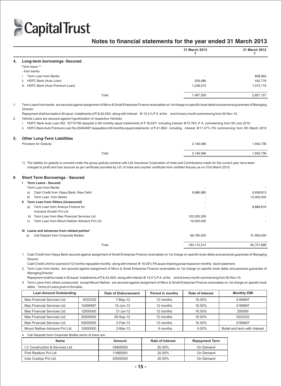

|    |                                    | 31 March 2013 | 31 March 2012 |
|----|------------------------------------|---------------|---------------|
| 4. | Long-term borrowings -Secured      |               |               |
|    | Term loans **                      |               |               |
|    | - from banks                       |               |               |
|    | i. Term Loan from Banks            | ٠.            | 808,662       |
|    | ii. HDFC Bank (Auto Loan)          | 259,086       | 442,776       |
|    | iii. HDFC Bank (Auto Premium Loan) | 1,238,273     | 1,575,719     |
|    | Total                              | 1,497,359     | 2,827,157     |

1. Term Loans from banks are secured against assignment of Micro & Small Enterprise Finance receivables on 1st charge on specific book debts and personal guarantee of Managing Director

Repayment shall be made in 30 equal Installments of ₹.8,33,333/- along with interest @ 15.5 % PA at the end of every month commencing from 30-Nov-10. 2. Vehicle Loans are secured against hypothication of respective Vehicles

i. HDFC Bank Auto Loan NO. 16774738 repayble in 60 monthly equal instalments of ₹.18,537/- including interest @10.76% P A commencing from 5th July 2010.

ii. HDFC Bank Auto Premium Loan No.20464597 repayable in 60 monthly equal instalments of ₹.41,852/- including interest @11.57% PA commencing from 5th March 2012

#### **5. Other Long-Term Liabilities**

| Total<br>2,146,066<br>.                           | 1,942,736 |
|---------------------------------------------------|-----------|
|                                                   |           |
| $-$<br><b>Provision for Gratuity</b><br>2,146,066 | ,942,736  |

1) The liability for gratuity is covered under the group gratuity scheme with Life Insurance Corporation of India and Contributions made for the current year have been charged to profit and loss account as per certificate provided by LIC of India and counter certificate from certified Actuary as on 31st March 2013.

#### **6 Short Term Borrowings - Secured**

|    | <b>Term Loans - Secured</b>                         |                          |            |
|----|-----------------------------------------------------|--------------------------|------------|
|    | Term Loan from Banks                                | $\overline{\phantom{a}}$ |            |
|    | Cash Credit from Vijaya Bank, New Delhi<br>a)       | 9,986,985                | 9,938,813  |
|    | Term Loan from Banks<br>b)                          | ٠                        | 10,000,000 |
| Ш. | Term Loan from Others (Unsecured)                   | ۰                        |            |
|    | Term Loan from Ananya Finance for<br>a)             | ٠                        | 8,888,876  |
|    | Inclusive Growth Pyt Ltd                            |                          |            |
|    | Term Loan from Mas Financial Services Ltd.<br>b)    | 103,333,329              |            |
|    | Term Loan from Mount Nathan Advisors Pvt Ltd.<br>C) | 10,000,000               |            |
|    | III Loans and advances from related parties*        |                          |            |
|    | Call Deposit from Corporate Bodies<br>a)            | 66,790,000               | 31,900,000 |
|    | Total                                               | 190,110,314              | 60,727,689 |
|    |                                                     |                          |            |

1. Cash Credit from Vijaya Bank secured against assignment of Small Enterprise Finance receivables on 1st charge on specific book debts and personal guarantee of Managing Director

Cash Credit Limit for a period of 12 months repayable monthly along with interest @ 16.25% PA as per drawing power based on monthly stock statement.

2. Term Loan from banks are secured against assignment of Micro & Small Enterprise Finance receivables on 1st charge on specific book debts and personal guarantee of Managing Director

Repayment shall be made in 30 equal Installments of `.8,33,333/- along with interest @ 15.5 % P A at the end of every month commencing from 30-Nov-10.

3 Term Loans from others (unsecured) except Mount Nathan are secured against assignment of Micro & Small Enterprise Finance receivables on 1st charge on specific book debts. Terms of Loans given in the table.

| <b>Loan Amount Outstanding</b> |          | <b>Period in months</b><br>Date of Disbursement |           | <b>Rate of Interest</b> | <b>Monthly EMI</b>            |
|--------------------------------|----------|-------------------------------------------------|-----------|-------------------------|-------------------------------|
| Mas Financial Services Ltd.    | 8333330  | $7-May-12$                                      | 12 months | 16.00%                  | 4166667                       |
| Mas Financial Services Ltd.    | 12499997 | 15-Jun-12                                       | 12 months | 16.00%                  | 4166667                       |
| Mas Financial Services Ltd.    | 12500000 | $31 -$ Jul-12                                   | 12 months | 16.00%                  | 250000                        |
| Mas Financial Services Ltd.    | 20000002 | 28-Sep-12                                       | 12 months | 16.00%                  | 3333333                       |
| Mas Financial Services Ltd.    | 50000000 | $2$ -Feb-13                                     | 12 months | 16.00%                  | 4166667                       |
| Mount Nathan Advisors Pyt Ltd. | 10000000 | $2-Mar-13$                                      | 9 months  | $9.00\%$                | Bullet end term with Interest |

4. Call Deposits from Corporate Bodies terms of loans are :

| Name                             | Amount   | <b>Rate of Interest</b> | <b>Repayment Term</b> |
|----------------------------------|----------|-------------------------|-----------------------|
| I C Construction & Services Ltd. | 34805000 | 20.00%                  | On Demand             |
| First Realtors Pyt Ltd.          | 11985000 | 20.00%                  | On Demand             |
| Indo Crediop Pvt Ltd.            | 20000000 | 20.00%                  | On Demand             |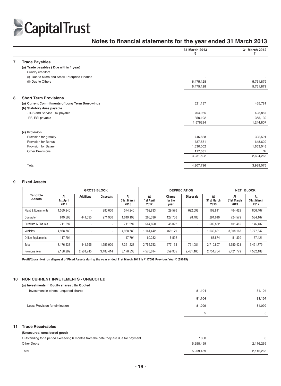

|                                                 | 31 March 2013<br>₹ | 31 March 2012<br>₹ |
|-------------------------------------------------|--------------------|--------------------|
| <b>Trade Payables</b><br>7                      |                    |                    |
| (a) Trade payables (Due within 1 year)          |                    |                    |
| Sundry creditors                                |                    |                    |
| (i) Due to Micro and Small Enterprise Finance   |                    |                    |
| (ii) Due to Others                              | 6,475,128          | 5,761,879          |
|                                                 | 6,475,128          | 5,761,879          |
| <b>Short Term Provisions</b><br>8               |                    |                    |
| (a) Current Commitments of Long Term Borrowings | 521,137            | 465,781            |
| (b) Statutory dues payable                      |                    |                    |
| -TDS and Service Tax payable                    | 704,965            | 423,887            |
| -PF, ESI payable                                | 350,192            | 355,139            |
|                                                 | 1,576294           | 1,244,807          |
| (c) Provision                                   |                    |                    |
| Provision for gratuity                          | 746,838            | 392,591            |
| <b>Provision for Bonus</b>                      | 737,581            | 648,629            |
| Provision for Salary                            | 1,630,002          | 1,653,048          |
| <b>Other Provisions</b>                         | 117,081            | Nil                |
|                                                 | 3,231,502          | 2,694,268          |
| Total                                           | 4,807,796          | 3,939,075          |

#### **9 Fixed Assets**

|                           | <b>GROSS BLOCK</b>      |                  |                          | <b>DEPRECIATION</b>      |                         |                           |                          | <b>NET</b><br><b>BLOCK</b> |                                                                                                                                                                                                                          |  |
|---------------------------|-------------------------|------------------|--------------------------|--------------------------|-------------------------|---------------------------|--------------------------|----------------------------|--------------------------------------------------------------------------------------------------------------------------------------------------------------------------------------------------------------------------|--|
| Tangible<br><b>Assets</b> | At<br>1st April<br>2012 | <b>Additions</b> | Disposals                | At<br>31st March<br>2013 | At<br>1st April<br>2012 | Charge<br>for the<br>year | <b>Disposals</b>         | At<br>31st March<br>2013   | At<br>At<br>31st March<br>31st March<br>2013<br>2012<br>856,407<br>464,429<br>584,167<br>724,579<br>146,437<br>101.415<br>3,308,168<br>3,777,347<br>57,421<br>51,830<br>5,421,779<br>4.650.421<br>5.421.779<br>4.582.188 |  |
| Plant & Equipments        | 1,559,240               |                  | 985.000                  | 574.240                  | 702,833                 | 29.576                    | 622,598                  | 109.811                    |                                                                                                                                                                                                                          |  |
| Computer                  | 849,503                 | 441.595          | 271.900                  | 1.019.198                | 265,336                 | 127.766                   | 98,483                   | 294.619                    |                                                                                                                                                                                                                          |  |
| Furniture & Fixtures      | 711.297                 |                  | $\overline{\phantom{a}}$ | 711.297                  | 564,860                 | 45,022                    | ۰                        | 609.882                    |                                                                                                                                                                                                                          |  |
| Vehicles                  | 4.938.789               |                  | $\overline{\phantom{a}}$ | 4.938.789                | 1,161,442               | 469.179                   | $\overline{\phantom{a}}$ | .630.621                   |                                                                                                                                                                                                                          |  |
| Office Equipments         | 117.704                 |                  |                          | 117.704                  | 60,282                  | 5,592                     | ٠                        | 65.874                     |                                                                                                                                                                                                                          |  |
| Total                     | 8,176,533               | 441.595          | .256.900                 | 7.361.228                | 2.754.753               | 677.135                   | 721.081                  | 2.710.807                  |                                                                                                                                                                                                                          |  |
| Previous Year             | 9,158,202               | 2.501.745        | 3.483.414                | 8.176.533                | 4.576.014               | 659.905                   | 2.481.165                | 2.754.754                  |                                                                                                                                                                                                                          |  |

**Profit/(Loss) Net on disposal of Fixed Assets during the year ended 31st March 2013 is** ` **17598 Previous Year** ` **(39095)**

#### **10 NON CURRENT INVETEMENTS - UNQUOTED**

#### (a) **Investments in Equity shares : Un Quoted**

| - Investment in others -unquoted shares | 81,104 | 81,104 |
|-----------------------------------------|--------|--------|
|                                         | 81,104 | 81,104 |
| Less:-Provision for diminution          | 81,099 | 81,099 |
|                                         | 5      | 5      |
|                                         |        |        |

#### **11 Trade Receivables**

#### **(Unsecured, considered good)**

| Outstanding for a period exceeding 6 months from the date they are due for payment | 1000      |           |
|------------------------------------------------------------------------------------|-----------|-----------|
| <b>Other Debts</b>                                                                 | 5.258.459 | 2.116.265 |
| Total                                                                              | 5.259.459 | 2.116.265 |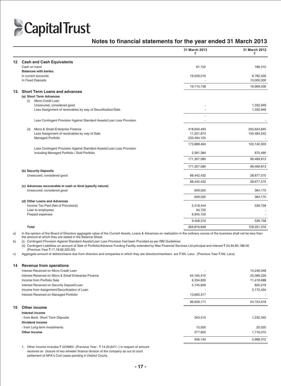

|         |                                                                       | 31 March 2013<br>₹ | 31 March 2012<br>₹ |
|---------|-----------------------------------------------------------------------|--------------------|--------------------|
| $12 \,$ | <b>Cash and Cash Equivalents</b>                                      |                    |                    |
|         | Cash on hand                                                          | 81,722             | 186,510            |
|         | <b>Balances with banks:</b>                                           |                    |                    |
|         | in current accounts                                                   | 19,029,016         | 6,782,526          |
|         | In Fixed Deposits                                                     |                    | 10,000,000         |
|         |                                                                       | 19,110,738         | 16,969,036         |
|         | 13. Short Term Loans and advances                                     |                    |                    |
|         | (a) Short Term Advances                                               |                    |                    |
|         | Micro Credit Loan<br>(i)                                              |                    |                    |
|         | Unsecured, considered good                                            |                    | 1,332,949          |
|         | Less Assignment of receivables by way of Securitization/Sale          |                    | 1,332,949          |
|         |                                                                       | L,                 |                    |
|         | Less Contingent Provision Against Standard Assets/Loan Loss Provision |                    |                    |
|         |                                                                       |                    |                    |
|         | Micro & Small Enterprise Finance<br>(ii)                              | 418,634,493        | 250,624,845        |
|         | Less Assignment of receivables by way of Sale                         | 11,251,874         | 150,484,542        |
|         | <b>Managed Portfolio</b>                                              | 233,494,155        |                    |
|         |                                                                       | 173,888,464        | 100,140,303        |
|         | Less Contingent Provision Against Standard Assets/Loan Loss Provision |                    |                    |
|         | including Managed Portfolio / Sold Portfolio                          | 2,581,384          | 670,490            |
|         |                                                                       | 171,307,080        | 99,469,813         |
|         |                                                                       |                    |                    |
|         |                                                                       | 171,307,080        | 99,469,813         |
|         | (b) Security Deposits                                                 |                    |                    |
|         | Unsecured, considered good                                            | 88,442,432         | 28,677,575         |
|         |                                                                       | 88,442,432         | 28,677,575         |
|         | (c) Advances recoverable in cash or kind (specify nature)             |                    |                    |
|         | Unsecured, considered good                                            | 609,020            | 364,170            |
|         |                                                                       | 609,020            | 364,170            |
|         | (d) Other Loans and Advances                                          |                    |                    |
|         | Income Tax Paid (Net of Provisions)                                   | 2,418,444          | 539,758            |
|         | Loan to employees                                                     | 94,722             |                    |
|         | Prepaid expenses                                                      | 6,945,150          |                    |
|         |                                                                       | 9,458,316          | 539,758            |
|         |                                                                       |                    |                    |
|         | <b>Total</b>                                                          | 269,816,848        | 129,051,316        |

a) In the opinion of the Board of Directors aggregate value of the Current Assets, Loans & Advances on realization in the ordinary course of the business shall not be less than the amount at which they are stated in the Balance Sheet.

b) (i) Contingent Provision Against Standard Assets/Loan Loss Provision had been Provided as per RBI Guidelines

(ii) Contingent Liabilities on account of Sale of Portfolio/Advance Funding Facility extended by Mas Financial Services Ltd principal and interest ₹.24,94,85,188.00 (Previous Year `.17,18,62,320.00)

c) Aggregate amount of debtors/loans due from directors and companies in which they are directors/members are ₹.NIL Lacs. (Previous Year ₹.NIL Lacs)

#### **14 Revenue from operations**

| Interest Received on Micro Credit Loan                |            | 15,246,048 |
|-------------------------------------------------------|------------|------------|
| Interest Received on Micro & Small Enterprise Finance | 64,165,415 | 25,066,229 |
| Income from Portfolio Sale                            | 6,334,830  | 11,419,688 |
| Interest Received on Security Deposit/Loan            | 5,745,609  | 820,219    |
| Income from Assignment/Securitization of Loan         | ٠          | 2,172,434  |
| Interest Received on Managed Portfolio                | 13,693,317 |            |
|                                                       | 89,939,171 | 54,724,618 |
| Other income<br>15                                    |            |            |
| Interest income                                       |            |            |
| - from Bank Short Term Deposits                       | 343,515    | 1,232,342  |
| Dividend income                                       |            |            |
| - from Long-term investments                          | 15,000     | 20,020     |
| Other Income                                          | 577,625    | 1,716,010  |
|                                                       | 936.140    | 2,968,372  |

1. Other Income includes ₹ 223990/- (Previous Year : ₹.14,00,641/-) in respect of amount received on closure of two wheeler finance division of the company as out of court settlement of NPA's Civil cases pending in District Courts.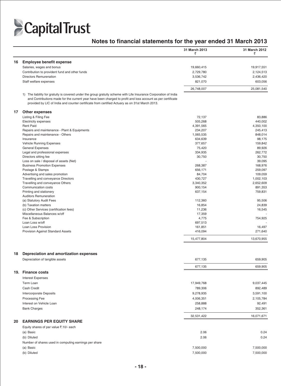

|    |                                                                                                                                                                                                                                                                                                                                    | 31 March 2013<br>₹ | 31 March 2012<br>₹ |
|----|------------------------------------------------------------------------------------------------------------------------------------------------------------------------------------------------------------------------------------------------------------------------------------------------------------------------------------|--------------------|--------------------|
| 16 | <b>Employee benefit expense</b>                                                                                                                                                                                                                                                                                                    |                    |                    |
|    | Salaries, wages and bonus                                                                                                                                                                                                                                                                                                          | 19,660,415         | 19,917,551         |
|    | Contribution to provident fund and other funds                                                                                                                                                                                                                                                                                     | 2,729,780          | 2,124,513          |
|    | Directors Remurenation                                                                                                                                                                                                                                                                                                             | 3,536,742          | 2,436,420          |
|    | Staff welfare expenses                                                                                                                                                                                                                                                                                                             | 821,070            | 603,056            |
|    |                                                                                                                                                                                                                                                                                                                                    | 26,748,007         | 25,081,540         |
|    | 1) The liability for gratuity is covered under the group gratuity scheme with Life Insurance Corporation of India<br>and Contributions made for the current year have been charged to profit and loss account as per certificate<br>provided by LIC of India and counter certificate from certified Actuary as on 31st March 2013. |                    |                    |
| 17 | <b>Other expenses</b>                                                                                                                                                                                                                                                                                                              |                    |                    |
|    | Listing & Filing Fee                                                                                                                                                                                                                                                                                                               | 72,137             | 83,886             |
|    | Electricity expenses                                                                                                                                                                                                                                                                                                               | 505,268            | 440,002            |
|    | <b>Rent Paid</b>                                                                                                                                                                                                                                                                                                                   | 4,391,565          | 4,350,100          |
|    | Repairs and maintenance - Plant & Equipments                                                                                                                                                                                                                                                                                       | 234,207            | 245,413            |
|    | Repairs and maintenance - Others                                                                                                                                                                                                                                                                                                   | 1,065,535          | 848,014            |
|    | Insurance                                                                                                                                                                                                                                                                                                                          | 634,639            | 98,175             |
|    | <b>Vehicle Running Expenses</b>                                                                                                                                                                                                                                                                                                    | 377,657            | 159,842            |
|    | <b>General Expenses</b>                                                                                                                                                                                                                                                                                                            | 75,420             | 89,926             |
|    | Legal and professional expenses                                                                                                                                                                                                                                                                                                    | 334,935            | 262,772            |
|    | Directors sitting fee                                                                                                                                                                                                                                                                                                              | 30,750             | 30,750             |
|    | Loss on sale / disposal of assets (Net)                                                                                                                                                                                                                                                                                            |                    | 39,095             |
|    | <b>Business Promotion Expenses</b>                                                                                                                                                                                                                                                                                                 | 268,387            | 168,976            |
|    | Postage & Stamps                                                                                                                                                                                                                                                                                                                   | 656,171            | 259,097            |
|    | Advertising and sales promotion                                                                                                                                                                                                                                                                                                    | 84,704             | 109,059            |
|    | Travelling and conveyance Directors                                                                                                                                                                                                                                                                                                | 430,727            | 1,002,103          |
|    | Travelling and conveyance Others                                                                                                                                                                                                                                                                                                   | 3,340,352          | 2,652,609          |
|    | Communication costs<br>Printing and stationery                                                                                                                                                                                                                                                                                     | 900,154<br>637,154 | 891,353<br>759,831 |
|    | <b>Auditors Remuneration</b>                                                                                                                                                                                                                                                                                                       |                    |                    |
|    | (a) Statutory Audit Fees                                                                                                                                                                                                                                                                                                           | 112,360            | 95,506             |
|    | (b) Taxation matters                                                                                                                                                                                                                                                                                                               | 16,854             | 24,839             |
|    | (c) Other Services (certification fees)                                                                                                                                                                                                                                                                                            | 11,236             | 16,545             |
|    | Miscellaneous Balances w/off                                                                                                                                                                                                                                                                                                       | 17,359             |                    |
|    | Fee & Subscription                                                                                                                                                                                                                                                                                                                 | 4,775              | 754,925            |
|    | Loan Loss w/off                                                                                                                                                                                                                                                                                                                    | 697,513            |                    |
|    | Loan Loss Provision                                                                                                                                                                                                                                                                                                                | 161,851            | 16,497             |
|    | Provision Against Standard Assets                                                                                                                                                                                                                                                                                                  | 416,094            | 271,640            |
|    |                                                                                                                                                                                                                                                                                                                                    | 15,477,804         | 13,670,955         |
|    |                                                                                                                                                                                                                                                                                                                                    |                    |                    |
| 18 | Depreciation and amortization expenses                                                                                                                                                                                                                                                                                             |                    |                    |
|    | Depreciation of tangible assets                                                                                                                                                                                                                                                                                                    | 677,135            | 659,905            |
|    |                                                                                                                                                                                                                                                                                                                                    | 677,135            | 659,905            |
|    | 19. Finance costs<br><b>Interest Expenses</b>                                                                                                                                                                                                                                                                                      |                    |                    |
|    | Term Loan                                                                                                                                                                                                                                                                                                                          | 17,949,768         | 9,037,445          |
|    |                                                                                                                                                                                                                                                                                                                                    |                    |                    |
|    | <b>Cash Credit</b>                                                                                                                                                                                                                                                                                                                 | 789,306            | 892,489            |
|    | <b>Intercorporate Deposits</b>                                                                                                                                                                                                                                                                                                     | 9,278,935          | 3,591,100          |
|    | Processing Fee                                                                                                                                                                                                                                                                                                                     | 4,006,351          | 2,105,784          |
|    | Interest on Vehicle Loan                                                                                                                                                                                                                                                                                                           | 258,888            | 92,491             |
|    | <b>Bank Charges</b>                                                                                                                                                                                                                                                                                                                | 248,174            | 352,361            |
|    |                                                                                                                                                                                                                                                                                                                                    | 32,531,422         | 16,071,671         |
| 20 | <b>EARNINGS PER EQUITY SHARE</b>                                                                                                                                                                                                                                                                                                   |                    |                    |
|    | Equity shares of par value $\overline{3}$ . 10/- each                                                                                                                                                                                                                                                                              |                    |                    |
|    | (a) Basic                                                                                                                                                                                                                                                                                                                          | 2.06               | 0.24               |
|    | (b) Diluted                                                                                                                                                                                                                                                                                                                        | 2.06               | 0.24               |
|    | Number of shares used in computing earnings per share                                                                                                                                                                                                                                                                              |                    |                    |
|    |                                                                                                                                                                                                                                                                                                                                    |                    |                    |
|    | (a) Basic                                                                                                                                                                                                                                                                                                                          | 7,500,000          | 7,500,000          |
|    | (b) Diluted                                                                                                                                                                                                                                                                                                                        | 7,500,000          | 7,500,000          |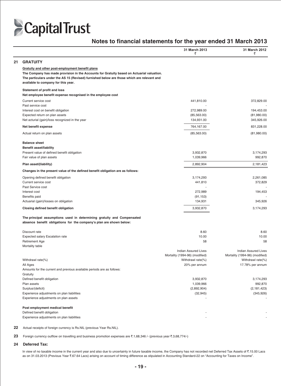

|    |                                                                                                                                                                                                                                                                                    | 31 March 2013<br>₹             | 31 March 2012<br>₹             |
|----|------------------------------------------------------------------------------------------------------------------------------------------------------------------------------------------------------------------------------------------------------------------------------------|--------------------------------|--------------------------------|
| 21 | <b>GRATUITY</b>                                                                                                                                                                                                                                                                    |                                |                                |
|    | Gratuity and other post-employment benefit plans<br>The Company has made provision in the Accounts for Gratuity based on Actuarial valuation.<br>The particulars under the AS 15 (Revised) furnished below are those which are relevant and<br>available to company for this year. |                                |                                |
|    | Statement of profit and loss                                                                                                                                                                                                                                                       |                                |                                |
|    | Net employee benefit expense recognised in the employee cost                                                                                                                                                                                                                       |                                |                                |
|    | Current service cost<br>Past service cost                                                                                                                                                                                                                                          | 441,810.00                     | 372,829.00                     |
|    | Interest cost on benefit obligation                                                                                                                                                                                                                                                | 272,989.00                     | 194,453.00                     |
|    | Expected return on plan assets                                                                                                                                                                                                                                                     | (85, 563.00)                   | (81,980.00)                    |
|    | Net acturial (gain)/loss recognized in the year                                                                                                                                                                                                                                    | 134,931.00                     | 345,926.00                     |
|    | Net benefit expense                                                                                                                                                                                                                                                                | 764,167.00                     | 831,228.00                     |
|    | Actual return on plan assets                                                                                                                                                                                                                                                       | (85, 563.00)                   | (81,980.00)                    |
|    |                                                                                                                                                                                                                                                                                    |                                |                                |
|    | <b>Balance sheet</b>                                                                                                                                                                                                                                                               |                                |                                |
|    | <b>Benefit asset/liability</b>                                                                                                                                                                                                                                                     |                                |                                |
|    | Present value of defined benefit obligation                                                                                                                                                                                                                                        | 3,932,870                      | 3,174,293                      |
|    | Fair value of plan assets                                                                                                                                                                                                                                                          | 1,039,966                      | 992,870                        |
|    | Plan asset/(liability)                                                                                                                                                                                                                                                             | 2,892,904                      | 2,181,423                      |
|    | Changes in the present value of the defined benefit obligation are as follows:                                                                                                                                                                                                     |                                |                                |
|    | Opening defined benefit obligation                                                                                                                                                                                                                                                 | 3,174,293                      | 2,261,085                      |
|    | Current service cost                                                                                                                                                                                                                                                               | 441,810                        | 372,829                        |
|    | Past Service cost                                                                                                                                                                                                                                                                  |                                |                                |
|    | Interest cost                                                                                                                                                                                                                                                                      | 272,989                        | 194,453                        |
|    | Benefits paid                                                                                                                                                                                                                                                                      | (91, 153)                      |                                |
|    | Actuarial (gain)/losses on obligation                                                                                                                                                                                                                                              | 134,931                        | 345,926                        |
|    | Closing defined benefit obligation                                                                                                                                                                                                                                                 | 3,932,870                      | 3,174,293                      |
|    | The principal assumptions used in determining gratuity and Compensated<br>absence benefit obligations for the company's plan are shown below:                                                                                                                                      |                                |                                |
|    | Discount rate                                                                                                                                                                                                                                                                      | 8.60                           | 8.60                           |
|    | Expected salary Escalation rate                                                                                                                                                                                                                                                    | 10.00                          | 10.00                          |
|    | <b>Retirement Age</b>                                                                                                                                                                                                                                                              | 58                             | 58                             |
|    | Mortality table                                                                                                                                                                                                                                                                    |                                |                                |
|    |                                                                                                                                                                                                                                                                                    | <b>Indian Assured Lives</b>    | <b>Indian Assured Lives</b>    |
|    |                                                                                                                                                                                                                                                                                    | Mortality (1994-96) (modified) | Mortality (1994-96) (modified) |
|    | Withdrawl rate(%)                                                                                                                                                                                                                                                                  | Withdrawl rate(%)              | Withdrawl rate(%)              |
|    | All Ages<br>Amounts for the current and previous available periods are as follows:                                                                                                                                                                                                 | 20% per annum                  | 17.78% per annum               |
|    | Gratuity                                                                                                                                                                                                                                                                           |                                |                                |
|    | Defined benefit obligation                                                                                                                                                                                                                                                         | 3,932,870                      | 3,174,293                      |
|    | Plan assets                                                                                                                                                                                                                                                                        | 1,039,966                      | 992,870                        |
|    | Surplus/(deficit)                                                                                                                                                                                                                                                                  | (2,892,904)                    | (2, 181, 423)                  |
|    | Experience adjustments on plan liabilities                                                                                                                                                                                                                                         | (32, 945)                      | (345, 926)                     |
|    | Experience adjustments on plan assets                                                                                                                                                                                                                                              |                                |                                |
|    | Post employment medical benefit                                                                                                                                                                                                                                                    |                                |                                |
|    | Defined benefit obligation                                                                                                                                                                                                                                                         |                                |                                |
|    | Experience adjustments on plan liabilities                                                                                                                                                                                                                                         |                                | $\sim$                         |
|    |                                                                                                                                                                                                                                                                                    |                                |                                |

**22** Actual receipts of foreign currency is Rs.NIL (previous Year Rs.NIL).

**23** Foreign currency outflow on travelling and business promotion expenses are `.1,68,346 /- (previous year `.3,68,774/-)

#### **24 Deferred Tax:**

In view of no taxable income in the current year and also due to uncertainty in future taxable income, the Company has not recorded net Deferred Tax Assets of ₹.15.00 Lacs as on 31.03.2013 (Previous Year ₹.67.64 Lacs) arising on account of timing difference as stipulated in Accounting Standard-22 on "Accounting for Taxes on Income".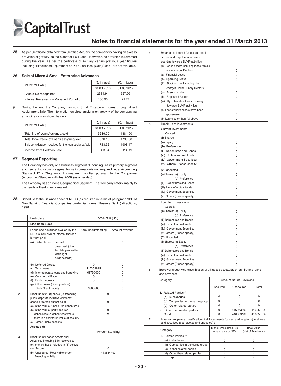

**25** As per Certificate obtained from Certified Actuary the company is having an excess provision of gratuity to the extent of 1.54 Lacs. However, no provision is reversed during the year. As per the certificate of Actuary certain previous year figures including "Experience Adjustment on Plan Liabilities-(Gain)/Loss" are not available.

#### **26 Sale of Micro & Small Enterprise Advances**

| <b>PARTICULARS</b>                     | $(5. \text{In lacs})$ | $(5)$ . In lacs) |
|----------------------------------------|-----------------------|------------------|
|                                        | 31.03.2013            | 31.03.2012       |
| Assets De recognised                   | 2334.94               | 627.95           |
| Interest Received on Managed Portfolio | 136.93                | 2172             |

(ii) During the year the Company has sold Small Enterprse Loans through direct Assignment/Sale. The information on direct assignment activity of the company as an originator is as shown below:-

| <b>PARTICULARS</b>                                     | $(5)$ . In lacs) | $(5)$ . In lacs) |
|--------------------------------------------------------|------------------|------------------|
|                                                        | 31.03.2013       | 31.03.2012       |
| Total No of Loan Assigned/sold                         | 5219.00          | 11381.00         |
| Total Book value of Loans assigned/sold                | 670.18           | 1793.98          |
| Sale consideration received for the loan assigned/sold | 733.52           | 1908.17          |
| Income from Portfolio Sale                             | 63.34            | 114.19           |

#### **27 Segment Reporting**

The Company has only one business segment ''Financing'' as its primary segment and hence disclosure of segment-wise information is not required under Accounting Standard 17 - ''Segmental Information'' notified pursuant to the Companies (Accounting Standards) Rules, 2006 (as amended).

The Company has only one Geographical Segment. The Company caters mainly to the needs of the domestic market.

**28** Schedule to the Balance sheet of NBFC (as required in terms of paragraph 9BB of Non Banking Financial Companies prudential norms (Reserve Bank ) directions, 1998.

|                                                                                                             | Particulars                                                                                                                                                                               | Amount in (Rs.)                   |                                      |
|-------------------------------------------------------------------------------------------------------------|-------------------------------------------------------------------------------------------------------------------------------------------------------------------------------------------|-----------------------------------|--------------------------------------|
|                                                                                                             | <b>Liabilities Side:</b>                                                                                                                                                                  |                                   |                                      |
| 1                                                                                                           | Loans and advances availed by the<br>NBFCs inclusive of interest thereon<br>but not paid:                                                                                                 | Amount outstanding                | Amount overdue                       |
| (a) Debentures : Secured<br>: Unsecured (other<br>than falling within the<br>Meaning of<br>public deposits) |                                                                                                                                                                                           | 0<br>O                            | 0<br>0                               |
|                                                                                                             | (b) Deferred Credits<br>(c) Term Loans<br>(d) Inter-corporate loans and borrowing                                                                                                         | $\Omega$<br>115351825<br>66790000 | 0<br>$\Omega$<br>0                   |
|                                                                                                             | (e) Commercial Paper<br>(f) Public Deposits<br>(g) Other Loans (Specify nature)<br>Cash Credit Facility                                                                                   | $\Omega$<br>$\Omega$<br>9986985   | $\Omega$<br><sup>0</sup><br>$\Omega$ |
| 2.                                                                                                          | Break-up of (1) (f) above (Outstanding<br>public deposits inclusive of interest<br>accrued thereon but not paid):<br>(a) In the form of Unsecured debentures                              | $\Omega$<br>$\Omega$              |                                      |
|                                                                                                             | (b) In the form of partly secured<br>debentures i.e debentures where<br>there is a shortfall in value of security<br>(c) Other Public deposits                                            |                                   | 0<br>$\Omega$                        |
|                                                                                                             | Assets side:                                                                                                                                                                              |                                   |                                      |
|                                                                                                             |                                                                                                                                                                                           | Amount Standing                   |                                      |
| 3                                                                                                           | Break-up of Leased Assets and<br>Advances including Bills receivables<br>(other than those included in (4) below:<br>(a) Secured<br>(b) Unsecured -Receivable under<br>financing activity | U<br>418634493                    |                                      |

| 4 | Break-up of Leased Assets and stock                                                                                                   |                                                                                           |        |                          |           |
|---|---------------------------------------------------------------------------------------------------------------------------------------|-------------------------------------------------------------------------------------------|--------|--------------------------|-----------|
|   | on hire and Hypothecation loans<br>counting towards EL/HP activities                                                                  |                                                                                           |        |                          |           |
|   | (i) Lease assets including lease rentals                                                                                              |                                                                                           |        |                          |           |
|   | under sundry Debtors:                                                                                                                 |                                                                                           | 0      |                          |           |
|   | (a) Financial Lease                                                                                                                   |                                                                                           | 0      |                          |           |
|   | (b) Operating Lease                                                                                                                   |                                                                                           | 0      |                          |           |
|   | (ii) Stock on hire including hire                                                                                                     |                                                                                           |        |                          |           |
|   | charges under Sundry Debtors                                                                                                          |                                                                                           |        |                          |           |
|   | (a) Assets on hire<br>(b) Repossed Assets                                                                                             |                                                                                           | 0<br>0 |                          |           |
|   | (iii) Hypothecation loans counting                                                                                                    |                                                                                           |        |                          |           |
|   | towards EL/HP activities                                                                                                              |                                                                                           |        |                          |           |
|   | (a) Loans where assets have been                                                                                                      |                                                                                           |        |                          |           |
|   | repossessed                                                                                                                           |                                                                                           | 0      |                          |           |
|   | (b) Loans other than (a) above                                                                                                        |                                                                                           | 0      |                          |           |
| 5 | Break-up of Investments:                                                                                                              |                                                                                           |        |                          |           |
|   | Current investments:                                                                                                                  |                                                                                           |        |                          |           |
|   | 1. Quoted:                                                                                                                            |                                                                                           |        |                          |           |
|   | (i) Shares:                                                                                                                           |                                                                                           |        |                          |           |
|   | (a) Equity<br>(b) Preference                                                                                                          |                                                                                           | 0<br>0 |                          |           |
|   | (ii) Debentures and Bonds                                                                                                             |                                                                                           | 0      |                          |           |
|   | (iii) Units of mutual funds                                                                                                           |                                                                                           | 0      |                          |           |
|   | (iv) Government Securities                                                                                                            |                                                                                           | 0      |                          |           |
|   | (v) Others (Please specify)                                                                                                           |                                                                                           | 0      |                          |           |
|   | (2) Unquoted:                                                                                                                         |                                                                                           |        |                          |           |
|   | (i) Shares: (a) Equity                                                                                                                |                                                                                           | 0      |                          |           |
|   | (b) Preference                                                                                                                        |                                                                                           | 0      |                          |           |
|   | (ii) Debentures and Bonds<br>(iii) Units of mutual funds                                                                              |                                                                                           | 0<br>0 |                          |           |
|   | (iv) Government Securities                                                                                                            |                                                                                           | 0      |                          |           |
|   | (v) Others (Please specify)                                                                                                           |                                                                                           | 0      |                          |           |
|   | Long Term Investments:                                                                                                                |                                                                                           |        |                          |           |
|   | 1. Quoted:                                                                                                                            |                                                                                           |        |                          |           |
|   | (i) Shares: (a) Equity                                                                                                                |                                                                                           | 0      |                          |           |
|   | (b) Preference                                                                                                                        |                                                                                           | 0      |                          |           |
|   | (ii) Debentures and Bonds                                                                                                             |                                                                                           | 0      |                          |           |
|   | (iii) Units of mutual funds                                                                                                           | 0                                                                                         |        |                          |           |
|   | (iv) Government Securities<br>(v) Others (Please specify)                                                                             |                                                                                           | 0      |                          |           |
|   | (2) Unquoted:                                                                                                                         |                                                                                           | 0      |                          |           |
|   | (i) Shares: (a) Equity                                                                                                                |                                                                                           | 0      |                          |           |
|   | (b) Preference                                                                                                                        |                                                                                           | 0      |                          |           |
|   | (ii) Debentures and Bonds                                                                                                             |                                                                                           | 0      |                          |           |
|   | (iii) Units of mutual funds                                                                                                           |                                                                                           | 0      |                          |           |
|   | (iv) Government Securities<br>(v) Others (Please specify)                                                                             |                                                                                           | 0      |                          |           |
|   |                                                                                                                                       |                                                                                           | 0      |                          |           |
| 6 | Borrower group-wise classification of all leases assets, Stock-on-hire and loans<br>and advances:                                     |                                                                                           |        |                          |           |
|   | Category                                                                                                                              |                                                                                           |        | Amount Net of Provisions |           |
|   |                                                                                                                                       |                                                                                           |        |                          |           |
|   |                                                                                                                                       | Secured                                                                                   |        | Unsecured                | Total     |
|   | 1. Related Parties**                                                                                                                  | 0                                                                                         |        | 0                        | 0         |
|   | (a) Subsidiaries<br>(b) Companies in the same group                                                                                   | 0                                                                                         |        | 0                        | 0         |
|   | (c) Other related parties                                                                                                             | 0                                                                                         |        | 0                        | 0         |
|   | 2. Other than related parties                                                                                                         | 0                                                                                         |        | 416053109                | 416053109 |
|   | Total                                                                                                                                 | 0                                                                                         |        | 416053109                | 416053109 |
| 7 | Investor group-wise classification of all investments (current and long term) in shares<br>and securities (both quoted and unquoted): |                                                                                           |        |                          |           |
|   | Category                                                                                                                              | <b>Book Value</b><br>Market Value/Break-up<br>or fair value or NAV<br>(Net of Provisions) |        |                          |           |
|   | 1. Related Parties **                                                                                                                 |                                                                                           |        |                          |           |
|   | (a) Subsidiares                                                                                                                       | 0                                                                                         |        |                          | 0         |
|   | (b) Companies in the same group                                                                                                       | 0                                                                                         |        |                          | 0         |
|   | (c) Other related parties                                                                                                             | 0                                                                                         |        |                          | 0         |
|   | (d) Other than related parties                                                                                                        | 1                                                                                         |        |                          | 1         |
|   | Total                                                                                                                                 | 1                                                                                         |        |                          | 1         |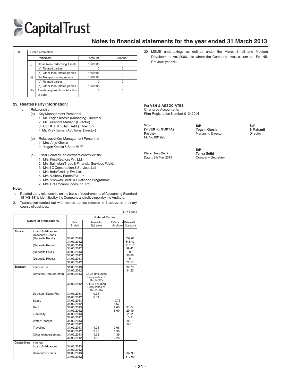

| 8 |       | Other information               |         |        |
|---|-------|---------------------------------|---------|--------|
|   |       | <b>Particulars</b>              | Amount  | Amount |
|   | (i)   | Gross Non-Performing Assets     | 1669605 |        |
|   |       | (a) Related parties             |         |        |
|   |       | (b) Other than related parties  | 1669605 |        |
|   | (ii)  | Net Non-performing Assets       | 1669605 |        |
|   |       | (a) Related parties             |         |        |
|   |       | (b) Other than related parties  | 1669605 |        |
|   | (iii) | Assets acquired in satisfaction |         |        |
|   |       | of debt                         |         |        |

#### **29. Related Party Information:**

1. Relationship

**Note:**

- (a) Key Management Personnel
	- 1 Mr. Yogen Khosla (Managing Director)
	- 2 Mr. Surendra Mahanti (Director)
	- 3 Cdr. K. L. Khullar (Retd.) (Director)
	- 4 Mr. Vijay Kumar (Additional Director)
- (b) Relatives of Key Management Personnel
	- 1 Mrs. Anju Khosla
	- 2 Yogen Khosla & Sons HUF
- (c) Other Related Parties where control exists:
	- 1. M/s. First Realtors Pvt. Ltd.
	- 2. M/s. Italindian Trade & Financial Services P. Ltd.
	- 3. M/s. I C Construction & Services Ltd.
	- 4. M/s. Indo Crediop Pvt. Ltd.
	- 5. M/s. Vaibhav Farms Pvt. Ltd.
	- 6. M/s. Vishwas Credit & Livelihood Programme.
	- 7. M/s. Dreamcann Foods Pvt. Ltd.
- 1. Related party relationship on the basis of requirements of Accounting Standard 18 (AS-18) is identified by the Company and relied upon by the Auditors.
- 2. Transaction carried out with related parties referred in 1 above, in ordinary course of business:

|                 |                               | <b>Related Parties</b>   |                             |              |                                         |
|-----------------|-------------------------------|--------------------------|-----------------------------|--------------|-----------------------------------------|
|                 | <b>Nature of Transactions</b> |                          |                             |              |                                         |
|                 |                               | Year<br>Ended            | Referred in<br>$1(a)$ above | $1(b)$ above | Referred in Referred in<br>$1(c)$ above |
| Finance         | Loans & Advances              |                          |                             |              |                                         |
|                 | Unsecured Loans               |                          |                             |              |                                         |
|                 | (Deposits Recd.)              | 31/03/2013               |                             |              | 559.08                                  |
|                 |                               | 31/03/2012               |                             |              | 346.42                                  |
|                 | (Deposits Repaid)             | 31/03/2013               |                             |              | 210.18                                  |
|                 |                               | 31/03/2012               |                             |              | 99.42<br>$\Omega$                       |
|                 | (Deposits Paid.)              | 31/03/2013<br>31/03/2012 |                             |              | 36.86                                   |
|                 | (Deposits Recd.)              | 31/03/2013               |                             |              | <sup>0</sup>                            |
|                 |                               | 31/03/2012               |                             |              | 72.57                                   |
| <b>Expenses</b> | Interest Paid                 | 31/03/2013               |                             |              | 92.79                                   |
|                 |                               | 31/03/2012               |                             |              | 34.22                                   |
|                 | <b>Directors Remuneration</b> | 31/03/2013               | 35.37 (including            |              |                                         |
|                 |                               |                          | Perquisites of<br>Rs.14.97) |              |                                         |
|                 |                               | 31/03/2012               | 24.36 (icluding             |              |                                         |
|                 |                               |                          | Perquisites of              |              |                                         |
|                 |                               |                          | Rs.10.56)                   |              |                                         |
|                 | <b>Directors Sitting Fee</b>  | 31/03/2013               | 0.31<br>0.31                |              |                                         |
|                 | Salary                        | 31/03/2012<br>31/03/2013 |                             | 10.73        |                                         |
|                 |                               | 31/03/2012               |                             | 8.67         |                                         |
|                 | Rent                          | 31/03/2013               |                             | 9.60         | 31.04                                   |
|                 |                               | 31/03/2012               |                             | 6.60         | 29.19                                   |
|                 | Electricity                   | 31/03/2013               |                             |              | 2.02                                    |
|                 |                               | 31/03/2012               |                             |              | 3.3                                     |
|                 | <b>Water Charges</b>          | 31/03/2013<br>31/03/2012 |                             |              | 0.07<br>0.01                            |
|                 | Travelling                    | 31/03/2013               | 4.26                        | 0.08         |                                         |
|                 |                               | 31/03/2012               | 9.98                        | 1.39         |                                         |
|                 | Other reimbursement           | 31/03/2013               | 1.72                        | 1.35         |                                         |
|                 |                               | 31/03/2012               | 1.62                        | 0.28         |                                         |
| Outstandings    | Finance                       |                          |                             |              |                                         |
|                 | Loans & Advances              | 31/03/2013               |                             |              |                                         |
|                 | Unsecured Loans               | 31/03/2012<br>31/03/2013 |                             |              | 667.90                                  |
|                 |                               | 31/03/2012               |                             |              | 319.00                                  |

30 MSME undertakings as defined under the Micro, Small and Medium Development Act 2006, to whom the Company owes a sum are Rs .NIL Previous year NIL.

For **VSH & ASSOCIATES** Chartered Accountants Firm Registration Number 012420 N

**Sd/- (VIVEK K. GUPTA) Partner** M. No.091926

**Sd/- Yogen Khosla** Managing Director

**Sd/- S Mahanti** Director

Place : New Delhi Date : 8th May 2013 **Sd/- Tanya Sethi** Company Secretary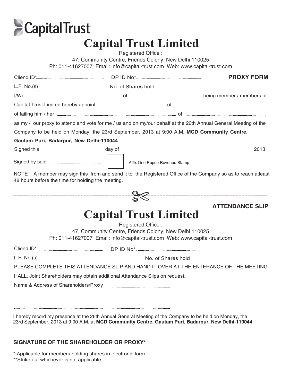

## **Capital Trust Limited**

Registered Office :

47, Community Centre, Friends Colony, New Delhi 110025

Ph: 011-41627007 Email: info@capital-trust.com Web: www.capital-trust.com

|                                                   |                                                                                                                                                                                                               | <b>PROXY FORM</b>                                                                                               |
|---------------------------------------------------|---------------------------------------------------------------------------------------------------------------------------------------------------------------------------------------------------------------|-----------------------------------------------------------------------------------------------------------------|
|                                                   |                                                                                                                                                                                                               |                                                                                                                 |
|                                                   |                                                                                                                                                                                                               |                                                                                                                 |
|                                                   |                                                                                                                                                                                                               |                                                                                                                 |
|                                                   |                                                                                                                                                                                                               |                                                                                                                 |
|                                                   |                                                                                                                                                                                                               | as my / our proxy to attend and vote for me / us and on my/our behalf at the 26th Annual General Meeting of the |
|                                                   | Company to be held on Monday, the 23rd September, 2013 at 9:00 A.M. MCD Community Centre,                                                                                                                     |                                                                                                                 |
| Gautam Puri, Badarpur, New Delhi-110044           |                                                                                                                                                                                                               |                                                                                                                 |
|                                                   |                                                                                                                                                                                                               |                                                                                                                 |
|                                                   | Affix One Rupee Revenue Stamp                                                                                                                                                                                 |                                                                                                                 |
| 48 hours before the time for holding the meeting. |                                                                                                                                                                                                               | NOTE: A member may sign this from and send it to the Registered Office of the Company so as to reach atleast    |
|                                                   |                                                                                                                                                                                                               |                                                                                                                 |
|                                                   |                                                                                                                                                                                                               |                                                                                                                 |
|                                                   |                                                                                                                                                                                                               | <b>ATTENDANCE SLIP</b>                                                                                          |
|                                                   | <b>Capital Trust Limited</b>                                                                                                                                                                                  |                                                                                                                 |
|                                                   | Registered Office:<br>47, Community Centre, Friends Colony, New Delhi 110025                                                                                                                                  |                                                                                                                 |
|                                                   | Ph: 011-41627007 Email: info@capital-trust.com Web: www.capital-trust.com                                                                                                                                     |                                                                                                                 |
|                                                   |                                                                                                                                                                                                               |                                                                                                                 |
|                                                   |                                                                                                                                                                                                               |                                                                                                                 |
|                                                   |                                                                                                                                                                                                               | PLEASE COMPLETE THIS ATTENDANCE SLIP AND HAND IT OVER AT THE ENTERANCE OF THE MEETING                           |
|                                                   | HALL. Joint Shareholders may obtain additional Attendance Slips on request.                                                                                                                                   |                                                                                                                 |
|                                                   |                                                                                                                                                                                                               |                                                                                                                 |
|                                                   |                                                                                                                                                                                                               |                                                                                                                 |
|                                                   |                                                                                                                                                                                                               |                                                                                                                 |
|                                                   | I hereby record my presence at the 26th Annual General Meeting of the Company to be held on Monday, the<br>23rd September, 2013 at 9:00 A.M. at MCD Community Centre, Gautam Puri, Badarpur, New Delhi-110044 |                                                                                                                 |

## **SIGNATURE OF THE SHAREHOLDER OR PROXY\***

\* Applicable for members holding shares in electronic form

\*\*Strike out whichever is not applicable